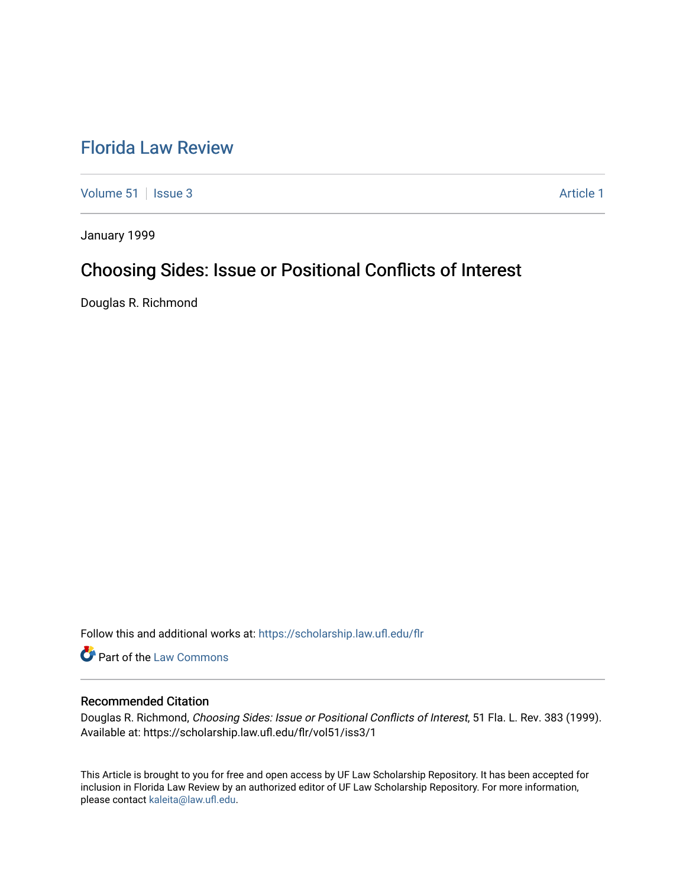# [Florida Law Review](https://scholarship.law.ufl.edu/flr)

[Volume 51](https://scholarship.law.ufl.edu/flr/vol51) | [Issue 3](https://scholarship.law.ufl.edu/flr/vol51/iss3) Article 1

January 1999

# Choosing Sides: Issue or Positional Conflicts of Interest

Douglas R. Richmond

Follow this and additional works at: [https://scholarship.law.ufl.edu/flr](https://scholarship.law.ufl.edu/flr?utm_source=scholarship.law.ufl.edu%2Fflr%2Fvol51%2Fiss3%2F1&utm_medium=PDF&utm_campaign=PDFCoverPages)

Part of the [Law Commons](http://network.bepress.com/hgg/discipline/578?utm_source=scholarship.law.ufl.edu%2Fflr%2Fvol51%2Fiss3%2F1&utm_medium=PDF&utm_campaign=PDFCoverPages)

# Recommended Citation

Douglas R. Richmond, Choosing Sides: Issue or Positional Conflicts of Interest, 51 Fla. L. Rev. 383 (1999). Available at: https://scholarship.law.ufl.edu/flr/vol51/iss3/1

This Article is brought to you for free and open access by UF Law Scholarship Repository. It has been accepted for inclusion in Florida Law Review by an authorized editor of UF Law Scholarship Repository. For more information, please contact [kaleita@law.ufl.edu](mailto:kaleita@law.ufl.edu).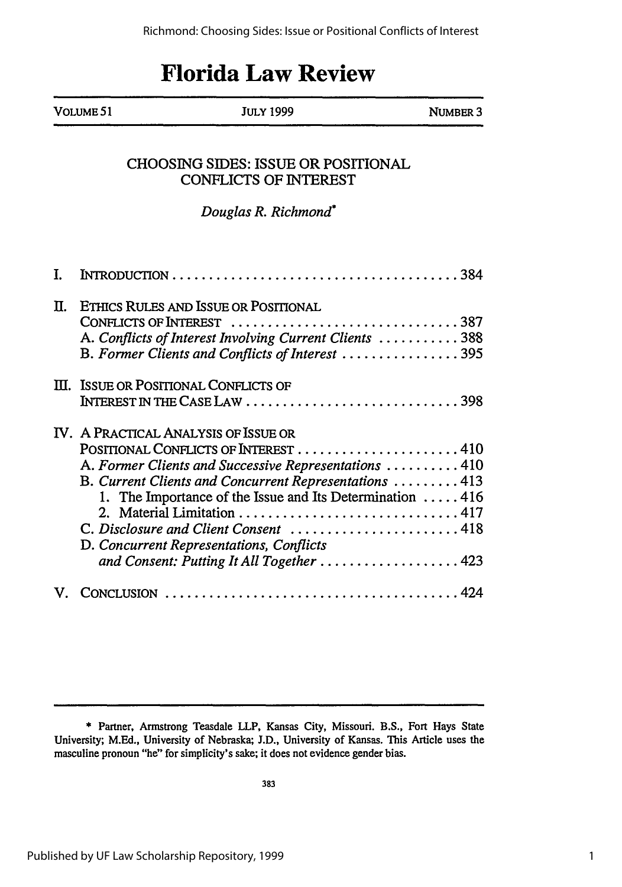# **Florida Law Review**

| Volume 51 | <b>JULY 1999</b> |                 |
|-----------|------------------|-----------------|
|           |                  | <b>NUMBER 3</b> |

# CHOOSING SIDES: ISSUE OR POSITIONAL CONFLICTS OF INTEREST

# *Douglas R. Richmond\**

| Π. | ETHICS RULES AND ISSUE OR POSITIONAL<br>CONFLICTS OF INTEREST 387<br>A. Conflicts of Interest Involving Current Clients  388<br>B. Former Clients and Conflicts of Interest 395                                                                                                                                                                                                               |
|----|-----------------------------------------------------------------------------------------------------------------------------------------------------------------------------------------------------------------------------------------------------------------------------------------------------------------------------------------------------------------------------------------------|
|    | III. ISSUE OR POSITIONAL CONFLICTS OF<br>INTEREST IN THE $\text{Case}$ Law $\ldots \ldots \ldots \ldots \ldots \ldots \ldots \ldots \ldots$ . 398                                                                                                                                                                                                                                             |
|    | IV. A PRACTICAL ANALYSIS OF ISSUE OR<br>POSITIONAL CONFLICTS OF INTEREST 410<br>A. Former Clients and Successive Representations  410<br>B. Current Clients and Concurrent Representations  413<br>1. The Importance of the Issue and Its Determination 416<br>C. Disclosure and Client Consent  418<br>D. Concurrent Representations, Conflicts<br>and Consent: Putting It All Together  423 |
|    |                                                                                                                                                                                                                                                                                                                                                                                               |

<sup>\*</sup> Partner, Armstrong Teasdale LLP, Kansas City, Missouri. B.S., Fort Hays State University; M.Ed., University of Nebraska; J.D., University of Kansas. This Article uses the masculine pronoun "he" for simplicity's sake; it does not evidence gender bias.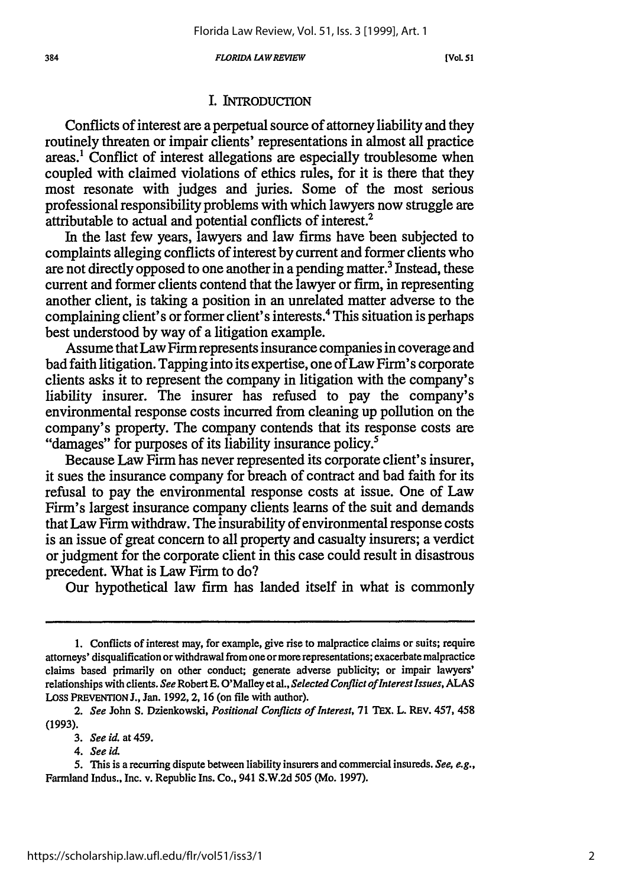*FLORIDA L4W REVIEW*

*[Vol. 51*

## I. **INTRODUCTION**

Conflicts of interest are a perpetual source of attorney liability and they routinely threaten or impair clients' representations in almost all practice areas.' Conflict of interest allegations are especially troublesome when coupled with claimed violations of ethics rules, for it is there that they most resonate with judges and juries. Some of the most serious professional responsibility problems with which lawyers now struggle are attributable to actual and potential conflicts of interest.<sup>2</sup>

In the last few years, lawyers and law firms have been subjected to complaints alleging conflicts of interest by current and former clients who are not directly opposed to one another in a pending matter.<sup>3</sup> Instead, these current and former clients contend that the lawyer or firm, in representing another client, is taking a position in an unrelated matter adverse to the complaining client's or former client's interests.4 This situation is perhaps best understood by way of a litigation example.

Assume that Law Firm represents insurance companies in coverage and bad faith litigation. Tapping into its expertise, one of Law Firm's corporate clients asks it to represent the company in litigation with the company's liability insurer. The insurer has refused to pay the company's environmental response costs incurred from cleaning up pollution on the company's property. The company contends that its response costs are "damages" for purposes of its liability insurance policy.<sup>5</sup>

Because Law Firm has never represented its corporate client's insurer, it sues the insurance company for breach of contract and bad faith for its refusal to pay the environmental response costs at issue. One of Law Firm's largest insurance company clients learns of the suit and demands that Law Firm withdraw. The insurability of environmental response costs is an issue of great concern to all property and casualty insurers; a verdict or judgment for the corporate client in this case could result in disastrous precedent. What is Law Firm to do?

Our hypothetical law firm has landed itself in what is commonly

**<sup>1.</sup>** Conflicts of interest may, for example, give rise to malpractice claims or suits; require attorneys' disqualification or withdrawal from one or more representations; exacerbate malpractice claims based primarily on other conduct; generate adverse publicity; or impair lawyers' relationships with clients. *See* Robert **E.** O'Malley et al., *Selected Conflict ofInterest Issues, ALAS* LOSS **PREVENTION** J., Jan. 1992, 2, 16 (on file with author).

*<sup>2.</sup> See* John S. Dzienkowski, *Positional Conflicts of Interest,* 71 TEX. L. REV. 457, 458 (1993).

*<sup>3.</sup> See id.* at459.

*<sup>4.</sup> See id.*

<sup>5.</sup> This is a recurring dispute between liability insurers and commercial insureds. *See, e.g.,* Farmland Indus., Inc. v. Republic Ins. Co., 941 S.W.2d 505 (Mo. 1997).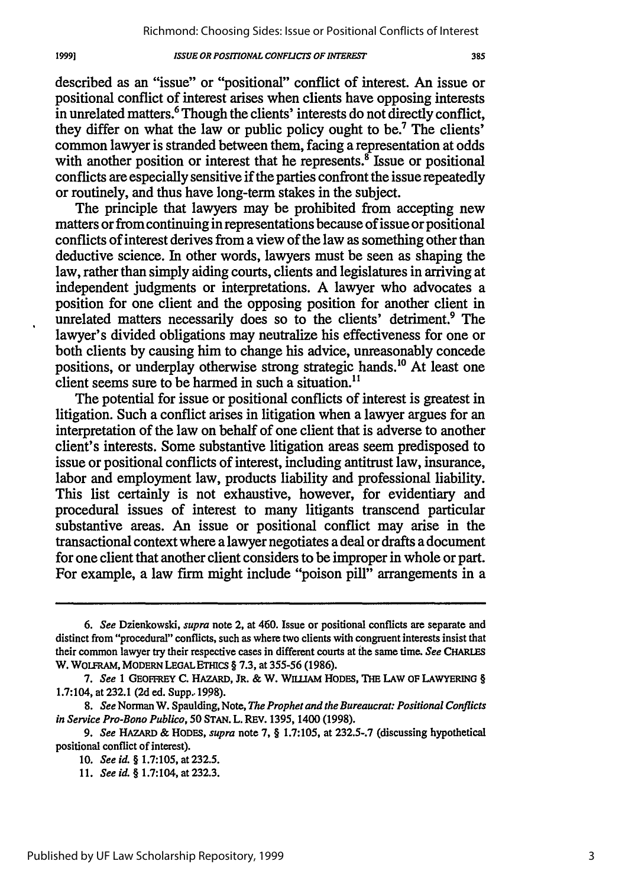described as an "issue" or "positional" conflict of interest. An issue or positional conflict of interest arises when clients have opposing interests in unrelated matters.' Though the clients' interests do not directly conflict, they differ on what the law or public policy ought to be.7 The clients' common lawyer is stranded between them, facing a representation at odds with another position or interest that he represents. $\delta$  Issue or positional conflicts are especially sensitive if the parties confront the issue repeatedly or routinely, and thus have long-term stakes in the subject.

The principle that lawyers may be prohibited from accepting new matters or from continuing in representations because of issue or positional conflicts of interest derives from a view of the law as something other than deductive science. In other words, lawyers must be seen as shaping the law, rather than simply aiding courts, clients and legislatures in arriving at independent judgments or interpretations. A lawyer who advocates a position for one client and the opposing position for another client in unrelated matters necessarily does so to the clients' detriment.<sup>9</sup> The lawyer's divided obligations may neutralize his effectiveness for one or both clients by causing him to change his advice, unreasonably concede positions, or underplay otherwise strong strategic hands.<sup>10</sup> At least one client seems sure to be harmed in such a situation.<sup>11</sup>

The potential for issue or positional conflicts of interest is greatest in litigation. Such a conflict arises in litigation when a lawyer argues for an interpretation of the law on behalf of one client that is adverse to another client's interests. Some substantive litigation areas seem predisposed to issue or positional conflicts of interest, including antitrust law, insurance, labor and employment law, products liability and professional liability. This list certainly is not exhaustive, however, for evidentiary and procedural issues of interest to many litigants transcend particular substantive areas. An issue or positional conflict may arise in the transactional context where a lawyer negotiates a deal or drafts a document for one client that another client considers to be improper in whole or part. For example, a law firm might include "poison pill" arrangements in a

Published by UF Law Scholarship Repository, 1999

*<sup>6.</sup> See* Dzienkowski, *supra* **note 2,** at 460. Issue or positional conflicts are separate and distinct from "procedural" conflicts, such as where two clients with congruent interests insist that their common lawyer try their respective cases in different courts at the same time. *See* **CHARLES W. WOLFRAM, MODERN LEGAL ETHIcs** § **7.3,** at **355-56 (1986).**

*<sup>7.</sup> See* **1 GEOFFREY C. HAZARD, JR. & W.** WII.,AM **HODES, THE LAW OF** LAWYERING § 1.7:104, **at 232.1 (2d ed. Supp.. 1998).**

*<sup>8.</sup> See* Norman **W.** Spaulding, **Note,** *The Prophet and the Bureaucrat: Positional Conflicts in Service Pro-Bono Publico,* **50 STAN. L. REv. 1395,** 1400 **(1998).**

*<sup>9.</sup> See* HAZARD **& HODES,** *supra* **note 7,** § **1.7:105, at 232.5-.7** (discussing hypothetical positional conflict of **interest).**

**<sup>10.</sup>** *See id. §* **1.7:105, at 232.5.**

**<sup>11.</sup>** *See id.* § 1.7:104, **at 232.3.**

<sup>19991</sup>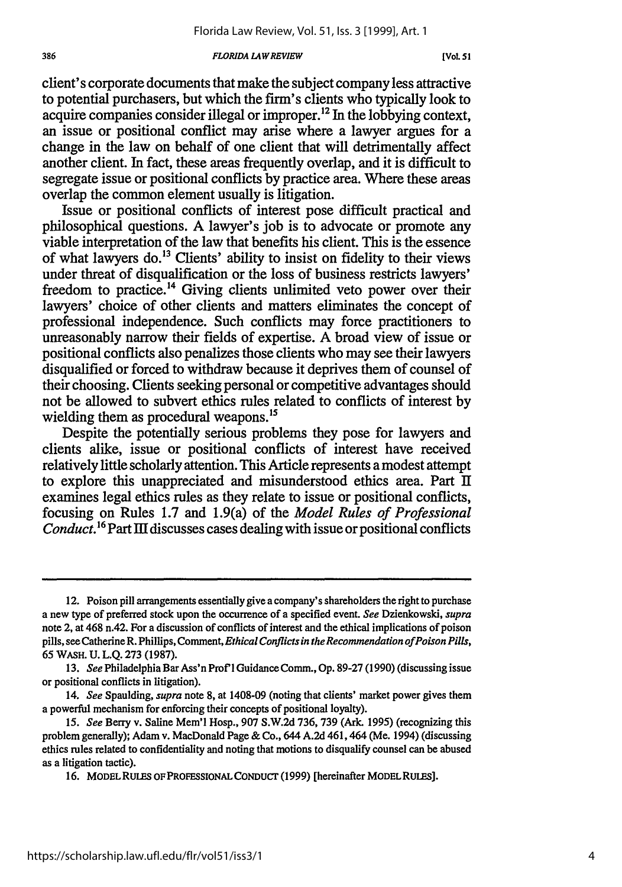#### *386 FLORIDA LA WREVIEW [Vol. 51*

client's corporate documents that make the subject company less attractive to potential purchasers, but which the firm's clients who typically look to acquire companies consider illegal or improper.12 In the lobbying context, an issue or positional conflict may arise where a lawyer argues for a change in the law on behalf of one client that will detrimentally affect another client. In fact, these areas frequently overlap, and it is difficult to segregate issue or positional conflicts by practice area. Where these areas overlap the common element usually is litigation.

Issue or positional conflicts of interest pose difficult practical and philosophical questions. A lawyer's job is to advocate or promote any viable interpretation of the law that benefits his client. This is the essence of what lawyers do.<sup>13</sup> Clients' ability to insist on fidelity to their views under threat of disqualification or the loss of business restricts lawyers' freedom to practice.<sup>14</sup> Giving clients unlimited veto power over their lawyers' choice of other clients and matters eliminates the concept of professional independence. Such conflicts may force practitioners to unreasonably narrow their fields of expertise. A broad view of issue or positional conflicts also penalizes those clients who may see their lawyers disqualified or forced to withdraw because it deprives them of counsel of their choosing. Clients seeking personal or competitive advantages should not be allowed to subvert ethics rules related to conflicts of interest by wielding them as procedural weapons.<sup>15</sup>

Despite the potentially serious problems they pose for lawyers and clients alike, issue or positional conflicts of interest have received relatively little scholarly attention. This Article represents a modest attempt to explore this unappreciated and misunderstood ethics area. Part I examines legal ethics rules as they relate to issue or positional conflicts, focusing on Rules 1.7 and 1.9(a) of the *Model Rules of Professional Conduct.*<sup>16</sup> Part III discusses cases dealing with issue or positional conflicts

<sup>12.</sup> Poison pill arrangements essentially give a company's shareholders the right to purchase a new type of preferred stock upon the occurrence of a specified event. *See* Dzienkowski, *supra* note 2, at 468 n.42. For a discussion of conflicts of interest and the ethical implications of poison pills, seeCatherineR. Phillips, Comment, *Ethical Conflicts in the Recommendation ofPoison Pills,* 65 WASH. U. L.Q. 273 (1987).

<sup>13.</sup> *See* Philadelphia Bar Ass'n Prof'l Guidance Comm., Op. 89-27 (1990) (discussing issue or positional conflicts in litigation).

<sup>14.</sup> *See* Spaulding, *supra* note 8, at 1408-09 (noting that clients' market power gives them a powerful mechanism for enforcing their concepts of positional loyalty).

*<sup>15.</sup> See* Berry v. Saline Mem'l Hosp., **907 S.W.2d** 736, **739** (Ark. **1995)** (recognizing this problem generally); Adam v. MacDonald Page **&** Co., 644 A.2d 461,464 (Me. 1994) (discussing ethics rules related to confidentiality and noting that motions to disqualify counsel can be abused as a litigation tactic).

<sup>16.</sup> MODEL RULES **OF PROFESSIONAL CONDUCT** (1999) [hereinafter MODEL **RULES].**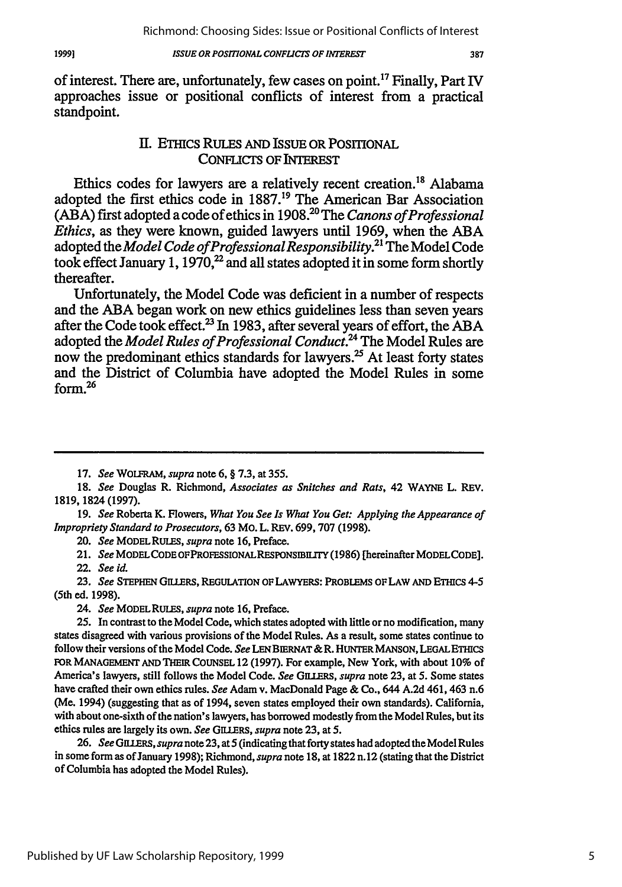of interest. There are, unfortunately, few cases on point.<sup>17</sup> Finally, Part IV approaches issue or positional conflicts of interest from a practical standpoint.

## **II. ETHICS RULES AND ISSUE OR POSITIONAL** CoNFLIcTs OF INTEREST

Ethics codes for lawyers are a relatively recent creation.18 Alabama adopted the first ethics code in 1887.19 The American Bar Association (ABA) first adopted a code of ethics in 1908.20 The *Canons of Professional Ethics,* as they were known, guided lawyers until 1969, when the ABA adopted the *Model Code ofProfessionalResponsibility.21* The Model Code took effect January 1, 1970,<sup>22</sup> and all states adopted it in some form shortly thereafter.

Unfortunately, the Model Code was deficient in a number of respects and the ABA began work on new ethics guidelines less than seven years after the Code took effect.<sup>23</sup> In 1983, after several years of effort, the ABA adopted the *Model Rules of Professional Conduct.24* The Model Rules are now the predominant ethics standards for lawyers.<sup>25</sup> At least forty states and the District of Columbia have adopted the Model Rules in some form.<sup>26</sup>

17. *See* WOLFRAM, *supra* note 6, § 7.3, at 355.

*18. See* Douglas R. Richmond, *Associates as Snitches and Rats,* 42 WAYNE L. REV. 1819, 1824(1997).

19. *See* Roberta K. Flowers, *What You See Is What You Get: Applying the Appearance of Impropriety Standard to Prosecutors,* 63 Mo. L. REV. 699,707 (1998).

20. *See* MODEL RULES, *supra* note 16, Preface.

21. *See* **MODELCODE** OFPROFESSIONALRESPONSBIHTY **(1986)** [hereinafter **MODELCODE].** 22. *See id.*

**23.** *See* **STEPHEN** GILLERS, **REGULATION OF** LAWYERS: PROBLEMS OF LAW **AND** ETHICS 4-5 (5th ed. 1998).

*24. See* MODEL **RULES,** *supra* note 16, Preface.

25. In contrast to the Model Code, which states adopted with little orno modification, many states disagreed with various provisions of the Model Rules. As a result, some states continue to follow their versions of the Model Code. *See* LEN BIERNAT & R. HUNTER MANSON, LEGAL ETHICS **IOR MANAGEMENT** AND THEIR **COUNSEL** 12 (1997). For example, New York, with about 10% of America's lawyers, still follows the Model Code. *See GILLERS, supra* note 23, at 5. Some states have crafted their own ethics rules. *See* Adam v. MacDonald Page & Co., 644 A.2d 461, 463 n.6 (Me. 1994) (suggesting that as of 1994, seven states employed their own standards). California, with about one-sixth of the nation's lawyers, has borrowed modestly from the Model Rules, but its ethics rules are largely its own. *See GILIERS, supra* note **23,** at 5.

26. *See GILIERS, supra* note 23, at 5 (indicating that forty states had adopted the Model Rules in some form as of January 1998); Richmond, *supra* note 18, at 1822 n.12 (stating that the District of Columbia has adopted the Model Rules).

387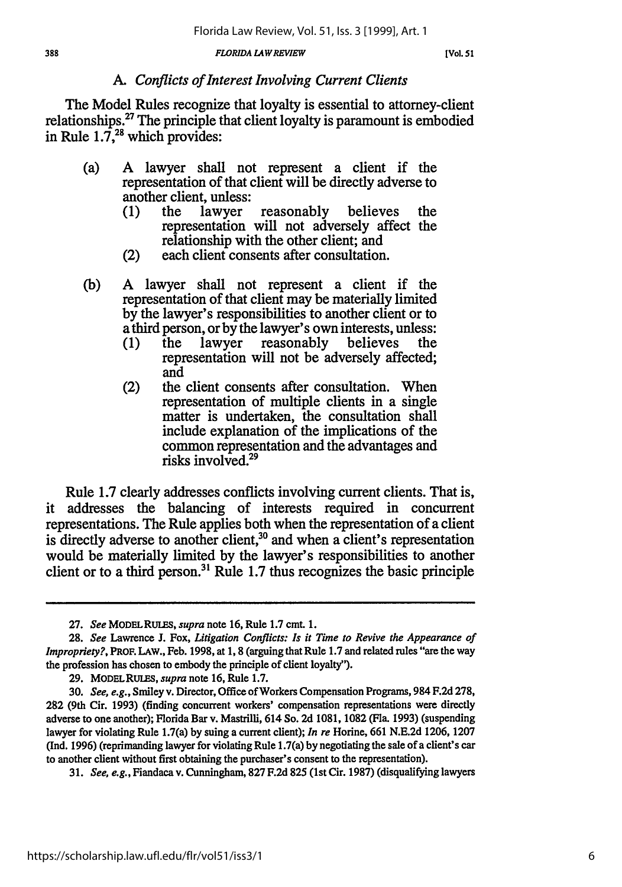# *A. Conflicts of Interest Involving Current Clients*

The Model Rules recognize that loyalty is essential to attorney-client relationships. $^{27}$  The principle that client loyalty is paramount is embodied in Rule  $1.\overline{7}^{28}$  which provides:

- (a) A lawyer shall not represent a client if the representation of that client will be directly adverse to another client, unless:<br>(1) the lawyer
	- (1) the lawyer reasonably believes the representation will not adversely affect the relationship with the other client; and
	- (2) each client consents after consultation.
- (b) A lawyer shall not represent a client if the representation of that client may be materially limited by the lawyer's responsibilities to another client or to a third person, or by the lawyer's own interests, unless:<br>(1) the lawyer reasonably believes the
	- (1) the lawyer reasonably believes the representation will not be adversely affected; and
	- (2) the client consents after consultation. When representation of multiple clients in a single matter is undertaken, the consultation shall include explanation of the implications of the common representation and the advantages and risks involved.<sup>29</sup>

Rule 1.7 clearly addresses conflicts involving current clients. That is, it addresses the balancing of interests required in concurrent representations. The Rule applies both when the representation of a client is directly adverse to another client,<sup>30</sup> and when a client's representation would be materially limited by the lawyer's responsibilities to another client or to a third person.<sup>31</sup> Rule 1.7 thus recognizes the basic principle

31. *See, e.g.,* Fiandaca v. Cunningham, 827 F.2d **825** (1st Cir. 1987) (disqualifying lawyers

**<sup>27.</sup>** *See* **MODELRULES,** *supra* note 16, Rule 1.7 cmt. 1.

**<sup>28.</sup>** *See* Lawrence J. Fox, *Litigation Conflicts: Is it Time to Revive the Appearance of Impropriety?,* **PROF. LAW.,** Feb. 1998, at 1, 8 (arguing that Rule 1.7 and related rules "are the way the profession has chosen to embody the principle of client loyalty").

**<sup>29.</sup>** MODELRULES, *supra* note 16, Rule 1.7.

<sup>30.</sup> *See, e.g.,* Smiley v. Director, Office of Workers Compensation Programs, 984 F.2d 278, **282** (9th Cir. 1993) (finding concurrent workers' compensation representations were directly adverse to one another); Florida Bar v. Mastrilli, 614 So. **2d** 1081, 1082 (Fla. 1993) (suspending lawyer for violating Rule 1.7(a) by suing a current client); *In re* Horine, 661 N.E.2d 1206, 1207 (Ind. 1996) (reprimanding lawyer for violating Rule 1.7(a) by negotiating the sale of a client's car to another client without first obtaining the purchaser's consent to the representation).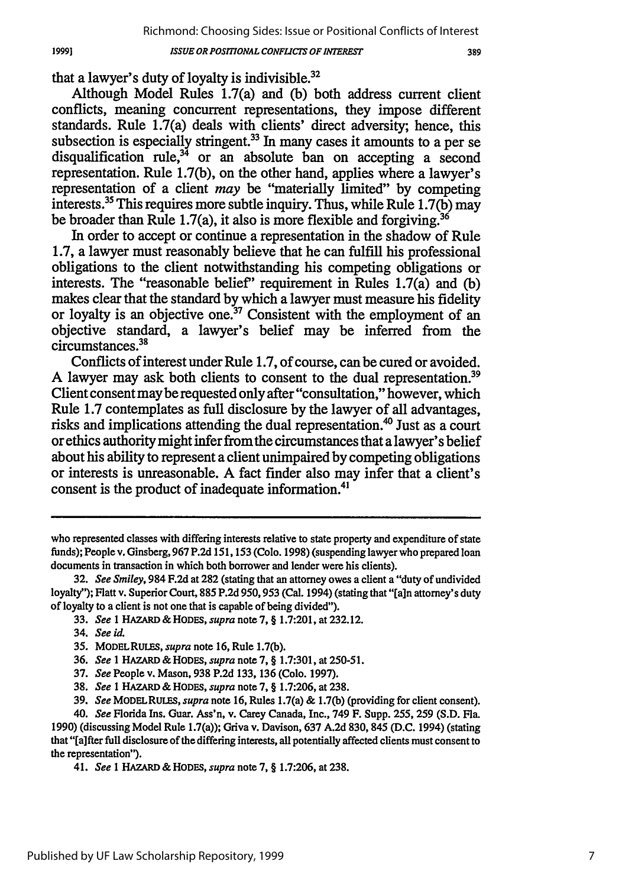that a lawyer's duty of loyalty is indivisible. $32$ 

Although Model Rules 1.7(a) and (b) both address current client conflicts, meaning concurrent representations, they impose different standards. Rule 1.7(a) deals with clients' direct adversity; hence, this subsection is especially stringent.<sup>33</sup> In many cases it amounts to a per se disqualification rule,<sup>34</sup> or an absolute ban on accepting a second representation. Rule 1.7(b), on the other hand, applies where a lawyer's representation of a client *may* be "materially limited" by competing interests.<sup>35</sup> This requires more subtle inquiry. Thus, while Rule  $1.7(b)$  may be broader than Rule 1.7(a), it also is more flexible and forgiving.<sup>36</sup>

In order to accept or continue a representation in the shadow of Rule 1.7, a lawyer must reasonably believe that he can fulfill his professional obligations to the client notwithstanding his competing obligations or interests. The "reasonable belief' requirement in Rules 1.7(a) and (b) makes clear that the standard by which a lawyer must measure his fidelity or loyalty is an objective one.37 Consistent with the employment of an objective standard, a lawyer's belief may be inferred from the circumstances.<sup>38</sup>

Conflicts of interest under Rule 1.7, of course, can be cured or avoided. A lawyer may ask both clients to consent to the dual representation.<sup>39</sup> Client consent may be requested only after "consultation," however, which Rule 1.7 contemplates as full disclosure by the lawyer of all advantages, risks and implications attending the dual representation.<sup>40</sup> Just as a court or ethics authority might infer from the circumstances that a lawyer's belief about his ability to represent a client unimpaired by competing obligations or interests is unreasonable. A fact finder also may infer that a client's consent is the product of inadequate information.<sup>41</sup>

who represented classes with differing interests relative to state property and expenditure of state funds); People v. Ginsberg, 967 P.2d 151,153 (Colo. 1998) (suspendinglawyer who prepared loan documents in transaction in which both borrower and lender were his clients).

**<sup>32.</sup>** *See Smiley,* 984 F.2d at 282 (stating that an attorney owes a client a "duty of undivided loyalty"); Flatt v. Superior Court, 885 P.2d 950, 953 (Cal. 1994) (stating that "[a]n attorney's duty of loyalty to a client is not one that is capable of being divided").

**<sup>33.</sup>** *See* 1 **HAZARD &** *HODES, supra* note **7,** § 1.7:201, at 232.12.

<sup>34.</sup> *See id.*

<sup>35.</sup> MODELRULES, *supra* note 16, Rule 1.7(b).

<sup>36.</sup> *See* 1 HAZARD &HODES, *supra* note 7, § 1.7:301, at 250-51.

<sup>37.</sup> *See* People v. Mason, 938 P.2d 133, **136** (Colo. 1997).

<sup>38.</sup> *See* 1 HAZARD & **HODES,** *supra* note 7, § 1.7:206, at 238.

**<sup>39.</sup>** *See* **MODEL** RULES, *supra* note 16, Rules 1.7(a) & 1.7(b) (providing for client consent).

<sup>40.</sup> *See* Florida Ins. Guar. Ass'n, v. Carey Canada, Inc., 749 F. Supp. 255, **259** (S.D. Fla. 1990) (discussing Model Rule 1.7(a)); Griva v. Davison, 637 A.2d 830, 845 (D.C. 1994) (stating that "[a]fter full disclosure of the differing interests, all potentially affected clients must consent to the representation").

<sup>41.</sup> *See* **I** HAZARD & HODES, *supra* note 7, § 1.7:206, at 238.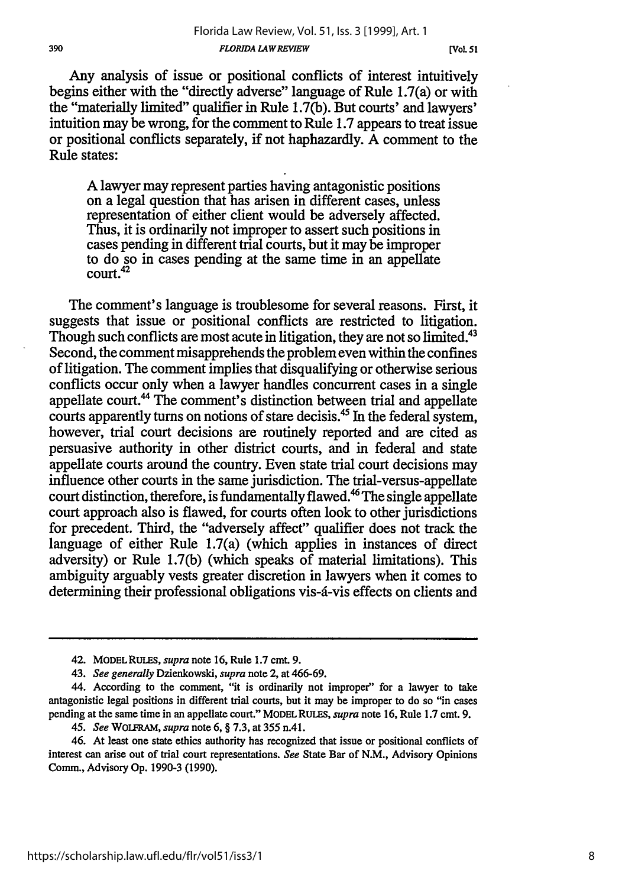Any analysis of issue or positional conflicts of interest intuitively begins either with the "directly adverse" language of Rule 1.7(a) or with the "materially limited" qualifier in Rule 1.7(b). But courts' and lawyers' intuition may be wrong, for the comment to Rule 1.7 appears to treat issue or positional conflicts separately, if not haphazardly. A comment to the Rule states:

A lawyer may represent parties having antagonistic positions on a legal question that has arisen in different cases, unless representation of either client would be adversely affected. Thus, it is ordinarily not improper to assert such positions in cases pending in different trial courts, but it may be improper to do so in cases pending at the same time in an appellate court.<sup>42</sup>

The comment's language is troublesome for several reasons. First, it suggests that issue or positional conflicts are restricted to litigation. Though such conflicts are most acute in litigation, they are not so limited.<sup>43</sup> Second, the comment misapprehends the problem even within the confines of litigation. The comment implies that disqualifying or otherwise serious conflicts occur only when a lawyer handles concurrent cases in a single appellate court.<sup>44</sup> The comment's distinction between trial and appellate courts apparently turns on notions of stare decisis.45 In the federal system, however, trial court decisions are routinely reported and are cited as persuasive authority in other district courts, and in federal and state appellate courts around the country. Even state trial court decisions may influence other courts in the same jurisdiction. The trial-versus-appellate court distinction, therefore, is fundamentally flawed.<sup>46</sup> The single appellate court approach also is flawed, for courts often look to other jurisdictions for precedent. Third, the "adversely affect" qualifier does not track the language of either Rule 1.7(a) (which applies in instances of direct adversity) or Rule 1.7(b) (which speaks of material limitations). This ambiguity arguably vests greater discretion in lawyers when it comes to determining their professional obligations vis-a-vis effects on clients and

<sup>42.</sup> MODEL RULES, *supra* note 16, Rule 1.7 cmt. 9.

<sup>43.</sup> *See generally* Dzienkowski, *supra* note 2, at 466-69.

<sup>44.</sup> According to the comment, "it is ordinarily not improper" for a lawyer to take antagonistic legal positions in different trial courts, but it may be improper to do so "in cases pending at the same time in an appellate court." MODELRULES, *supra* note 16, Rule 1.7 cmt. 9.

<sup>45.</sup> *See* WOLFRAM, *supra* note 6, § 7.3, at 355 n.41.

<sup>46.</sup> At least one state ethics authority has recognized that issue or positional conflicts of interest can arise out of trial court representations. *See* State Bar of N.M., Advisory Opinions Comm., Advisory Op. 1990-3 (1990).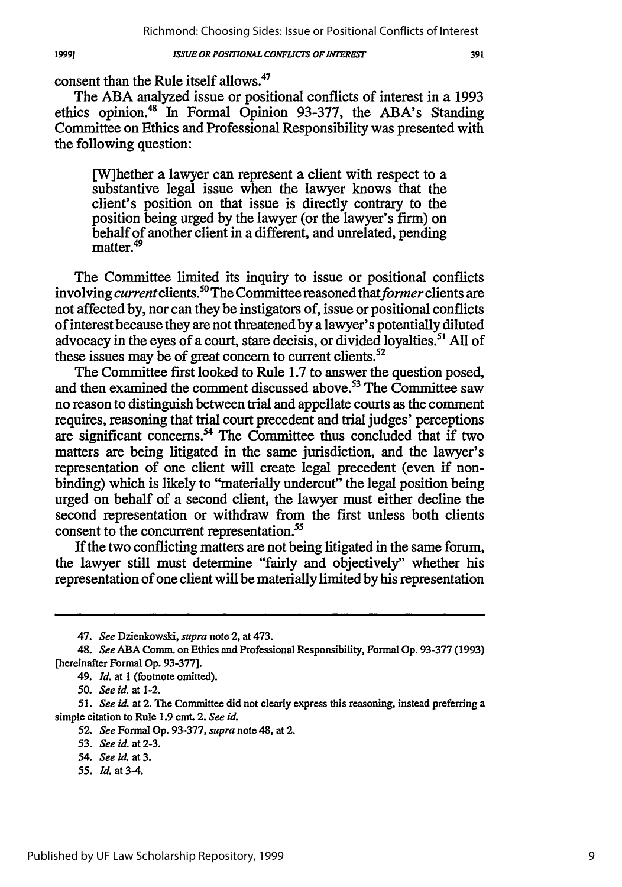consent than the Rule itself allows.<sup>47</sup>

The ABA analyzed issue or positional conflicts of interest in a 1993 ethics opinion.48 In Formal Opinion 93-377, the ABA's Standing Committee on Ethics and Professional Responsibility was presented with the following question:

[W]hether a lawyer can represent a client with respect to a substantive legal issue when the lawyer knows that the client's position on that issue is directly contrary to the position being urged by the lawyer (or the lawyer's firm) on behalf of another client in a different, and unrelated, pending  $m$  matter.<sup>49</sup>

The Committee limited its inquiry to issue or positional conflicts involving *current* clients.<sup>50</sup> The Committee reasoned that *former* clients are not affected by, nor can they be instigators of, issue or positional conflicts of interest because they are not threatened by a lawyer's potentially diluted advocacy in the eyes of a court, stare decisis, or divided loyalties.<sup>51</sup> All of these issues may be of great concern to current clients.<sup>52</sup>

The Committee first looked to Rule 1.7 to answer the question posed, and then examined the comment discussed above.<sup>53</sup> The Committee saw no reason to distinguish between trial and appellate courts as the comment requires, reasoning that trial court precedent and trial judges' perceptions are significant concerns.<sup>54</sup> The Committee thus concluded that if two matters are being litigated in the same jurisdiction, and the lawyer's representation of one client will create legal precedent (even if nonbinding) which is likely to "materially undercut" the legal position being urged on behalf of a second client, the lawyer must either decline the second representation or withdraw from the first unless both clients consent to the concurrent representation.<sup>55</sup>

**If** the two conflicting matters are not being litigated in the same forum, the lawyer still must determine "fairly and objectively" whether his representation of one client will be materially limited by his representation

*55. Id.* at 3-4.

*<sup>47.</sup> See* Dzienkowski, *supra* note 2, at 473.

<sup>48.</sup> *See* **ABA** Comm. on Ethics and Professional Responsibility, Formal **Op. 93-377 (1993)** [hereinafter Formal Op. 93-377].

<sup>49.</sup> *Id.* at 1 (footnote omitted).

*<sup>50.</sup> See id.* at 1-2.

*<sup>51.</sup> See id.* at 2. The Committee did not clearly express this reasoning, instead preferring a simple citation to Rule 1.9 cmt. 2. *See id.*

*<sup>52.</sup> See* Formal Op. 93-377, *supra* note 48, at 2.

*<sup>53.</sup> See id.* at 2-3.

*<sup>54.</sup> See id.* at **3.**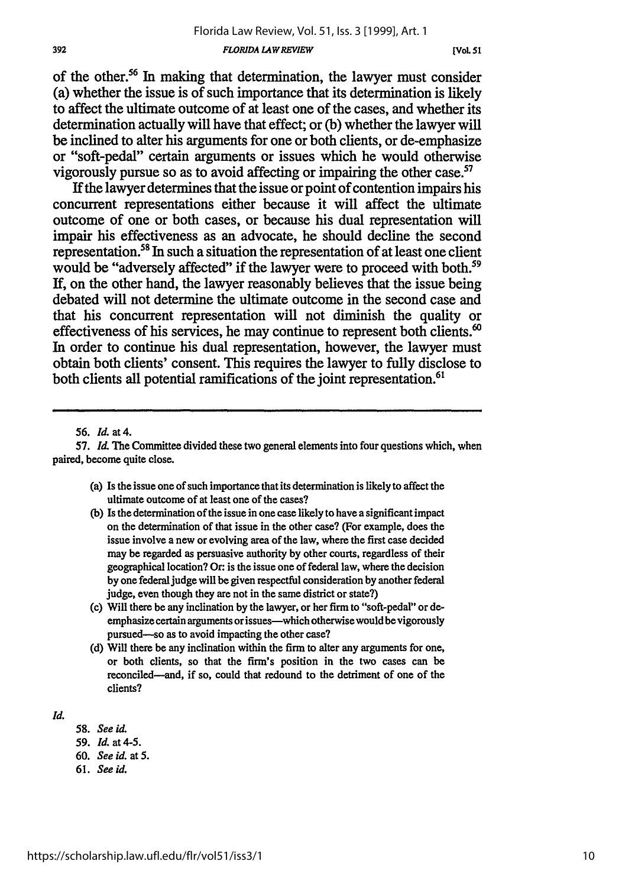#### *FLORJDA LAWREVIEW*

of the other.<sup>56</sup> In making that determination, the lawyer must consider (a) whether the issue is of such importance that its determination is likely to affect the ultimate outcome of at least one of the cases, and whether its determination actually will have that effect; or **(b)** whether the lawyer will be inclined to alter his arguments for one or both clients, or de-emphasize or "soft-pedal" certain arguments or issues which he would otherwise vigorously pursue so as to avoid affecting or impairing the other case.57

**If** the lawyer determines that the issue or point of contention impairs his concurrent representations either because it **will** affect the ultimate outcome of one or both cases, or because his dual representation **will** impair his effectiveness as an advocate, he should decline the second representation.<sup>58</sup> In such a situation the representation of at least one client would be "adversely affected" if the lawyer were to proceed with both.<sup>59</sup> If, on the other hand, the lawyer reasonably believes that the issue being debated will not determine the ultimate outcome in the second case and that his concurrent representation will not diminish the quality or effectiveness of his services, he may continue to represent both clients.<sup>60</sup> In order to continue his dual representation, however, the lawyer must obtain both clients' consent. This requires the lawyer to fully disclose to both clients all potential ramifications of the joint representation.<sup>61</sup>

57. *Ma* **The** Committee divided these two general elements into four questions which, when paired, become quite close.

- (a) Is the issue one of such importance that its determination is likely to affect the ultimate outcome of at least one of the cases?
- **(b)** Is the determination of the issue in one case likely to have a significant impact on the determination of that issue in the other case? (For example, does the issue involve a new or evolving area of the law, where the first case decided may be regarded as persuasive authority **by** other courts, regardless of their geographical location? **Or:** is the issue one of federal law, where the decision **by** one federal judge will be given respectful consideration **by** another federal judge, even though they are not in the same district or state?)
- (c) Will there be any inclination **by** the lawyer, or her firm to "soft-pedal" or deemphasize certain arguments or issues-which otherwise would be vigorously pursued-so as to avoid impacting the other case?
- (d) Will there be any inclination within the firm to alter any arguments for one, or both clients, so that the firm's position in the two cases can be reconciled-and, if so, could that redound to the detriment of one of the clients?

*Id.*

- 58. *See id.*
- *59. Id.* at 4-5.
- **60.** *See id.* at **5.**
- **61.** *See id.*

**<sup>56.</sup>** *Id.* at **4.**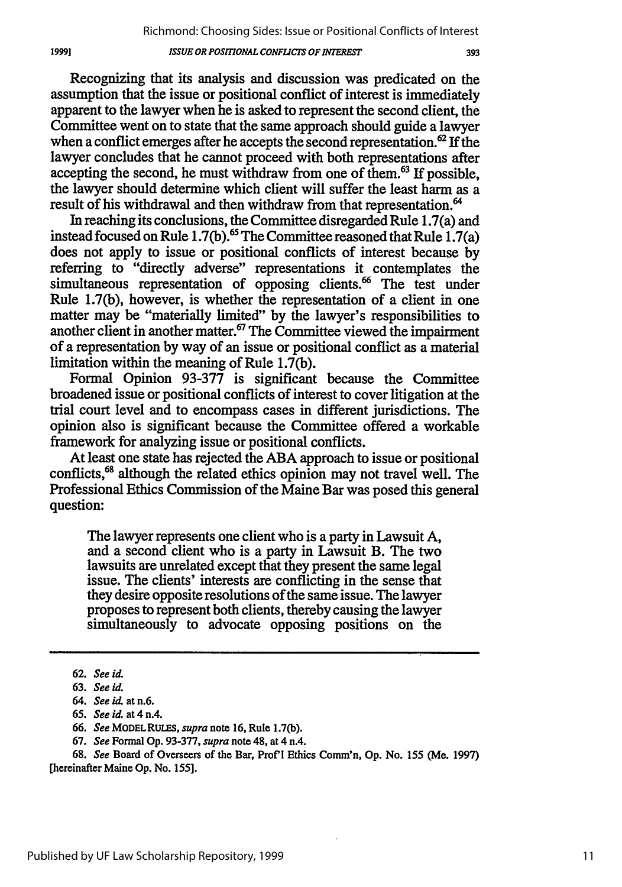393

Recognizing that its analysis and discussion was predicated on the assumption that the issue or positional conflict of interest is immediately apparent to the lawyer when he is asked to represent the second client, the Committee went on to state that the same approach should guide a lawyer when a conflict emerges after he accepts the second representation.<sup>62</sup> If the lawyer concludes that he cannot proceed with both representations after accepting the second, he must withdraw from one of them. $63$  If possible, the lawyer should determine which client will suffer the least harm as a result of his withdrawal and then withdraw from that representation.<sup>64</sup>

In reaching its conclusions, the Committee disregarded Rule 1.7(a) and instead focused on Rule **1.7(b).65** The Committee reasoned that Rule 1.7(a) does not apply to issue or positional conflicts of interest because **by** referring to "directly adverse" representations it contemplates the simultaneous representation of opposing clients.<sup>66</sup> The test under Rule **1.7(b),** however, is whether the representation of a client in one matter may be "materially limited" **by** the lawyer's responsibilities to another client in another matter.67 The Committee viewed the impairment of a representation **by** way of an issue or positional conflict as a material limitation within the meaning of Rule **1.7(b).**

Formal Opinion **93-377** is significant because the Committee broadened issue or positional conflicts of interest to cover litigation at the trial court level and to encompass cases in different jurisdictions. The opinion also is significant because the Committee offered a workable framework for analyzing issue or positional conflicts.

At least one state has rejected the **ABA** approach to issue or positional conflicts,<sup>68</sup> although the related ethics opinion may not travel well. The Professional Ethics Commission of the Maine Bar was posed this general question:

The lawyer represents one client who is a party in Lawsuit A, and a second client who is a party in Lawsuit B. The two lawsuits are unrelated except that they present the same legal issue. The clients' interests are conflicting in the sense that they desire opposite resolutions of the same issue. The lawyer proposes to represent both clients, thereby causing the lawyer simultaneously to advocate opposing positions on the

68. *See* Board of Overseers of the Bar, Prof'l Ethics Comm'n, Op. No. 155 (Me. 1997) [hereinafter Maine Op. No. *155].*

**<sup>62.</sup>** *See id.*

<sup>63.</sup> *See id.*

*<sup>64.</sup> See id.* at n.6.

<sup>65.</sup> *See id.* at 4 n.4.

<sup>66.</sup> *See* **MODELRULES,** *supra* note 16, Rule 1.7(b).

<sup>67.</sup> *See* Formal Op. 93-377, *supra* note 48, at 4 n.4.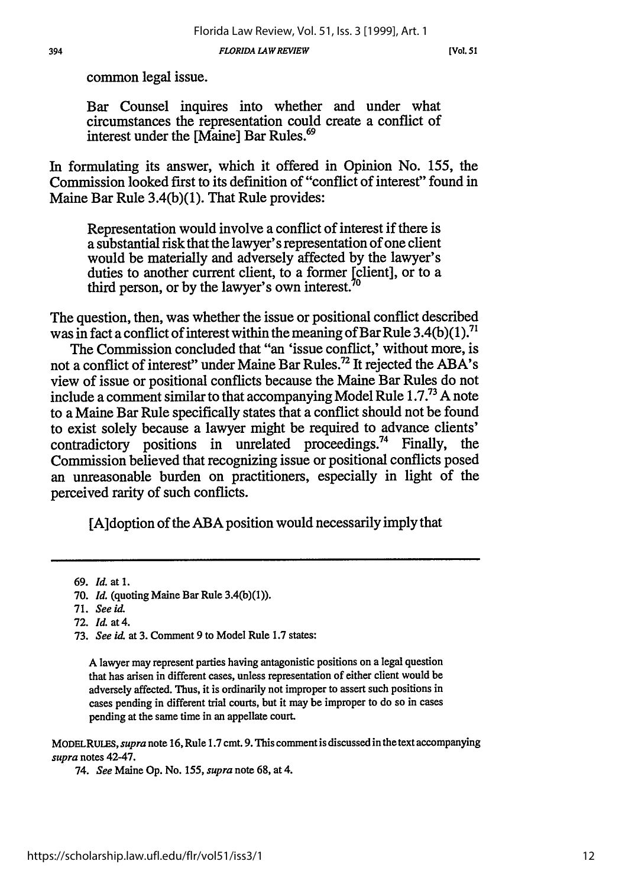394 *FLORIDA LAW REVIEW* **[Vol. 51**

common legal issue.

Bar Counsel inquires into whether and under what circumstances the representation could create a conflict of interest under the [Maine] Bar Rules.<sup>69</sup>

In formulating its answer, which it offered in Opinion No. 155, the Commission looked first to its definition of "conflict of interest" found in Maine Bar Rule 3.4(b)(1). That Rule provides:

Representation would involve a conflict of interest if there is a substantial risk that the lawyer's representation of one client would be materially and adversely affected by the lawyer's duties to another current client, to a former [client], or to a third person, or by the lawyer's own interest.<sup>70</sup>

The question, then, was whether the issue or positional conflict described was in fact a conflict of interest within the meaning of Bar Rule  $3.4(b)(1)$ .<sup>71</sup>

The Commission concluded that "an 'issue conflict,' without more, is not a conflict of interest" under Maine Bar Rules.72 It rejected the ABA's view of issue or positional conflicts because the Maine Bar Rules do not include a comment similar to that accompanying Model Rule **1.7.73** A note to a Maine Bar Rule specifically states that a conflict should not be found to exist solely because a lawyer might be required to advance clients' contradictory positions in unrelated proceedings.<sup>74</sup> Finally, the contradictory positions in unrelated proceedings.<sup>74</sup> Finally, Commission believed that recognizing issue or positional conflicts posed an unreasonable burden on practitioners, especially in light of the perceived rarity of such conflicts.

[A]doption of the ABA position would necessarily imply that

A lawyer may represent parties having antagonistic positions on a legal question that has arisen in different cases, unless representation of either client would be adversely affected. Thus, it is ordinarily not improper to assert such positions in cases pending in different trial courts, but it may be improper to do so in cases pending at the same time in an appellate court.

MODELRULES, *supra* note 16, Rule 1.7 cmt. 9. This comment is discussed in the text accompanying *supra* notes 42-47.

74. *See* Maine Op. No. *155, supra* note 68, at 4.

**<sup>69.</sup>** *Id.* at 1.

**<sup>70.</sup>** *Id.* (quoting Maine Bar Rule **3.4(b)(1)).**

<sup>71.</sup> *See id.*

<sup>72.</sup> *Id.* at 4.

<sup>73.</sup> *See id.* at 3. Comment 9 to Model Rule 1.7 states: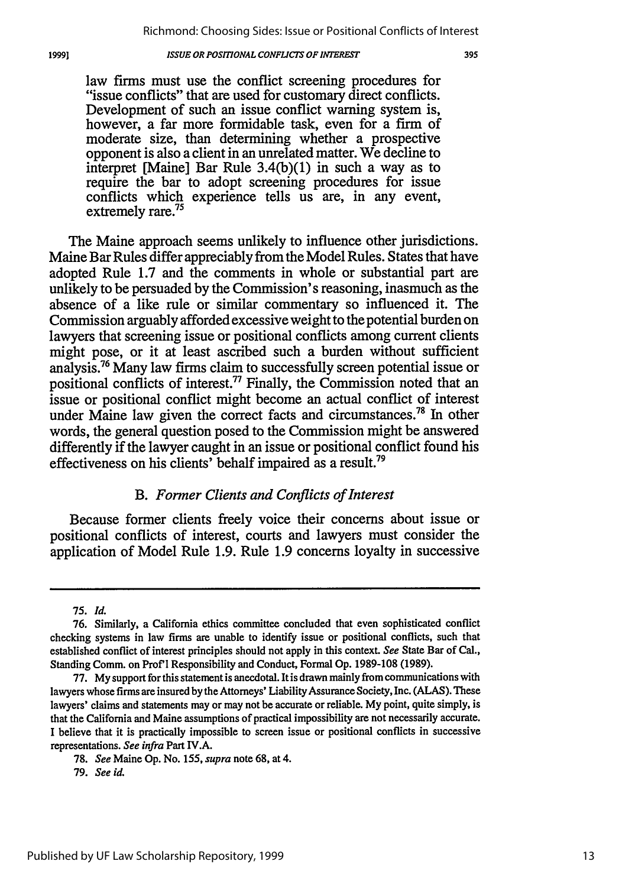law firms must use the conflict screening procedures for "issue conflicts" that are used for customary direct conflicts. Development of such an issue conflict warning system is, however, a far more formidable task, even for a firm of moderate size, than determining whether a prospective opponent is also a client in an unrelated matter. We decline to interpret [Maine] Bar Rule 3.4(b)(1) in such a way as to require the bar to adopt screening procedures for issue conflicts which experience tells us are, in any event, extremely rare.<sup>75</sup>

The Maine approach seems unlikely to influence other jurisdictions. Maine Bar Rules differ appreciably from the Model Rules. States that have adopted Rule 1.7 and the comments in whole or substantial part are unlikely to be persuaded by the Commission's reasoning, inasmuch as the absence of a like rule or similar commentary so influenced it. The Commission arguably afforded excessive weight to the potential burden on lawyers that screening issue or positional conflicts among current clients might pose, or it at least ascribed such a burden without sufficient analysis.76 Many law firms claim to successfully screen potential issue or positional conflicts of interest.77 Finally, the Commission noted that an issue or positional conflict might become an actual conflict of interest under Maine law given the correct facts and circumstances.<sup>78</sup> In other words, the general question posed to the Commission might be answered differently if the lawyer caught in an issue or positional conflict found his effectiveness on his clients' behalf impaired as a result.<sup>79</sup>

## *B. Former Clients and Conflicts of Interest*

Because former clients freely voice their concerns about issue or positional conflicts of interest, courts and lawyers must consider the application of Model Rule 1.9. Rule 1.9 concerns loyalty in successive

<sup>75.</sup> *Id.*

**<sup>76.</sup>** Similarly, a California ethics committee concluded that even sophisticated conflict checking systems in law firms are unable to identify issue or positional conflicts, such that established conflict of interest principles should not apply in this context. *See* State Bar of Cal., Standing Comm. on Prof'l Responsibility and Conduct, Formal Op. 1989-108 (1989).

<sup>77.</sup> My support for this statement is anecdotal. Itis drawn mainly from communications with lawyers whose firms are insured by the Attorneys' Liability Assurance Society, Inc. (ALAS). These lawyers' claims and statements may or may not be accurate or reliable. My point, quite simply, is that the California and Maine assumptions of practical impossibility are not necessarily accurate. I believe that it is practically impossible to screen issue or positional conflicts in successive representations. *See* infra Part IV.A.

<sup>78.</sup> *See* Maine Op. No. *155, supra* note 68, at 4.

<sup>79.</sup> *See id.*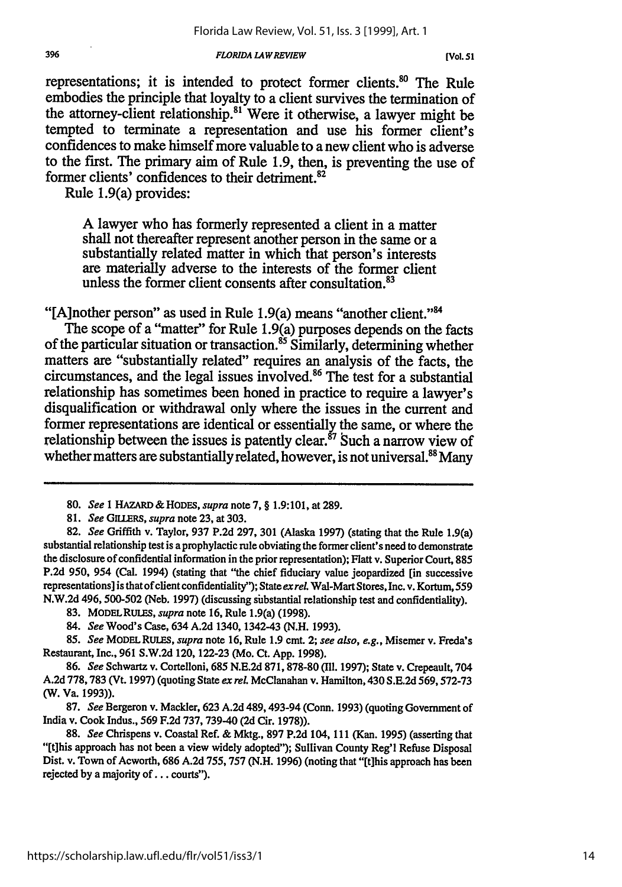#### *FLORIDA LAW REVIEW*

representations; it is intended to protect former clients.<sup>80</sup> The Rule embodies the principle that loyalty to a client survives the termination of the attorney-client relationship." Were it otherwise, a lawyer might be tempted to terminate a representation and use his former client's confidences to make himself more valuable to a new client who is adverse to the first. The primary aim of Rule **1.9,** then, is preventing the use of former clients' confidences to their detriment.<sup>82</sup>

Rule 1.9(a) provides:

**A** lawyer who has formerly represented a client in a matter shall not thereafter represent another person in the same or a substantially related matter in which that person's interests are materially adverse to the interests of the former client unless the former client consents after consultation.<sup>83</sup>

"[A]nother person" as used in Rule 1.9(a) means "another client."<sup>84</sup>

The scope of a "matter" for Rule 1.9(a) purposes depends on the facts of the particular situation or transaction. 5 Similarly, determining whether matters are "substantially related" requires an analysis of the facts, the circumstances, and the legal issues involved.86 The test for a substantial relationship has sometimes been honed in practice to require a lawyer's disqualification or withdrawal only where the issues in the current and former representations are identical or essentially the same, or where the relationship between the issues is patently clear.<sup>87</sup> Such a narrow view of whether matters are substantially related, however, is not universal.<sup>88</sup> Many

**<sup>80.</sup>** *See* **I** HAZARD *& HODES, supra* note **7, § 1.9:101,** at **289.**

**<sup>81.</sup>** *See GILLERS, supra* note **23,** at **303.**

**<sup>82.</sup>** *See* Griffith v. Taylor, **937 P.2d 297, 301** (Alaska **1997)** (stating that the Rule 1.9(a) substantial relationship test is a prophylactic rule obviating the former client's need to demonstrate the disclosure of confidential information in the prior representation); Flatt v. Superior Court, **885 P.2d 950,** 954 (Cal. 1994) (stating that "the chief fiduciary value jeopardized **[in** successive representations] is that of client confidentiality"); State *exreL* Wal-Mart Stores,Inc. v. Kortum, **559 N.W.2d** 496, **500-502** (Neb. **1997)** (discussing substantial relationship test and confidentiality).

**<sup>83.</sup> MODELRULES,** *supra* note **16,** Rule 1.9(a) **(1998).**

<sup>84.</sup> *See* Wood's Case, 634 **A.2d** 1340, 1342-43 **(N.H. 1993).**

*<sup>85.</sup> See* MODELRULES, *supra* note **16,** Rule **1.9** cmt. 2; *see also, e.g.,* Misemer v. Freda's Restaurant, Inc., **961 S.W.2d 120, 122-23** (Mo. Ct. **App. 1998).**

**<sup>86.</sup>** *See* Schwartz v. Cortelloni, **685 N.E.2d 871,878-80 (111. 1997);** State v. Crepeault, 704 **A.2d 778,783** (Vt. **1997)** (quoting State *ex reL* McClanahan v. Hamilton, 430 **S.E.2d 569,572-73** (W. Va. **1993)).**

**<sup>87.</sup>** *See* Bergeron v. Mackler, **623 A.2d** 489,493-94 (Conn. **1993)** (quoting Government of India v. Cook Indus., **569 F.2d 737, 739-40 (2d** Cir. **1978)).**

**<sup>88.</sup>** *See* Chrispens v. Coastal Ref. **&** Mktg., **897 P.2d** 104, **111** (Kan. **1995)** (asserting that "[tihis approach has not been a view widely adopted"); Sullivan County Reg'l Refuse Disposal Dist. v. Town of Acworth, **686 A.2d 755, 757 (N.H. 1996)** (noting that **"It]his** approach has been rejected **by** a majority **of. . .** courts").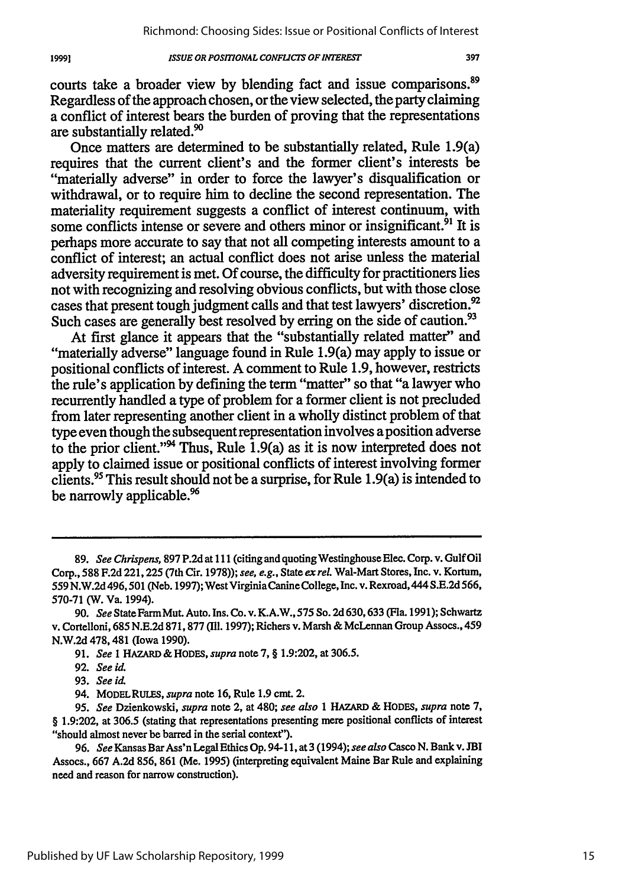courts take a broader view by blending fact and issue comparisons.<sup>89</sup> Regardless of the approach chosen, or the view selected, the party claiming a conflict of interest bears the burden of proving that the representations are substantially related.'

Once matters are determined to be substantially related, Rule 1.9(a) requires that the current client's and the former client's interests be "materially adverse" in order to force the lawyer's disqualification or withdrawal, or to require him to decline the second representation. The materiality requirement suggests a conflict of interest continuum, with some conflicts intense or severe and others minor or insignificant.<sup>91</sup> It is perhaps more accurate to say that not all competing interests amount to a conflict of interest; an actual conflict does not arise unless the material adversity requirement is met. Of course, the difficulty for practitioners lies not with recognizing and resolving obvious conflicts, but with those close cases that present tough judgment calls and that test lawyers' discretion.' Such cases are generally best resolved by erring on the side of caution.<sup>93</sup>

At first glance it appears that the "substantially related matter" and "materially adverse" language found in Rule 1.9(a) may apply to issue or positional conflicts of interest. A comment to Rule 1.9, however, restricts the rule's application by defining the term "matter" so that "a lawyer who recurrently handled a type of problem for a former client is not precluded from later representing another client in a wholly distinct problem of that type even though the subsequent representation involves a position adverse to the prior client."94 Thus, Rule 1.9(a) as it is now interpreted does not apply to claimed issue or positional conflicts of interest involving former clients.95 This result should not be a surprise, for Rule 1.9(a) is intended to be narrowly applicable.<sup>96</sup>

19991

<sup>89.</sup> *See Chrispens*, 897 P.2d at 111 (citing and quoting Westinghouse Elec. Corp. v. Gulf Oil Corp., **588 F.2d** 221,225 (7th Cir. 1978)); *see, e.g.,* State *ex* rel. Wal-Mart Stores, Inc. v. Kortum, 559 N.W.2d 496,501 (Neb. 1997); West VirginiaCanine College, Inc. v. Rexroad, 444 S.E.2d 566, 570-71 (W. Va. 1994).

<sup>90.</sup> *See* State FarmMut. Auto. Ins. Co. v. K.A.W., 575 So. **2d** 630,633 (Fla. 1991); Schwartz v. Cortelloni, 685 N.E.2d 871, 877 (Ill. 1997); Richers v. Marsh & McLennan Group Assocs., 459 N.W.2d 478,481 (Iowa 1990).

<sup>91.</sup> *See* 1 HAZARD & HODES, *supra* note 7, § 1.9:202, at 306.5.

<sup>92.</sup> *See id.*

<sup>93.</sup> *See id.*

<sup>94.</sup> MODELRUES, *supra* note 16, Rule 1.9 cmt. 2.

*<sup>95.</sup> See* Dzienkowski, *supra* note 2, at 480; *see also* **I HAZARD** & HODES, *supra* note 7, § **1.9:202,** at **306.5** (stating that representations presenting mere positional conflicts of interest "should almost never be barred in the serial context").

<sup>96.</sup> *See* Kansas Bar Ass'n Legal Ethics Op. 94-11, at3 (1994); *see also Casco* N. Bank v. **JBI** Assocs., 667 A.2d 856, 861 (Me. 1995) (interpreting equivalent Maine Bar Rule and explaining need and reason for narrow construction).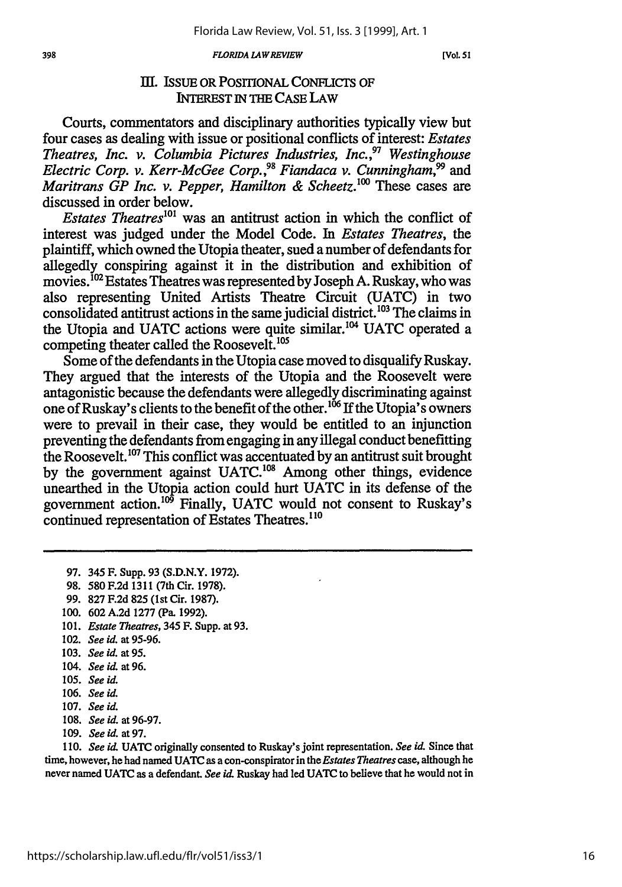*FLORIDA LAWREVIEW*

**[VoL. 51**

# III. ISSUE OR POSITIONAL CONFLICTS OF INTEREST IN THE CASE LAW

Courts, commentators and disciplinary authorities typically view but four cases as dealing with issue or positional conflicts of interest: *Estates Theatres, Inc. v. Columbia Pictures Industries, Inc.,97 Westinghouse Electric Corp. v. Kerr-McGee Corp.," Fiandaca v. Cunningham,99* and *Maritrans GP Inc. v. Pepper, Hamilton & Scheetz.<sup>100</sup> These cases are* discussed in order below.

*Estates Theatres*<sup>101</sup> was an antitrust action in which the conflict of interest was judged under the Model Code. In *Estates Theatres, the* plaintiff, which owned the Utopia theater, sued a number of defendants for allegedly conspiring against it in the distribution and exhibition of movies. **"** Estates Theatres was represented by Joseph A. Ruskay, who was also representing United Artists Theatre Circuit (UATC) in two consolidated antitrust actions in the same judicial district.<sup>103</sup> The claims in the Utopia and UATC actions were quite similar.<sup>104</sup> UATC operated a competing theater called the Roosevelt.<sup>105</sup>

Some of the defendants in the Utopia case moved to disqualify Ruskay. They argued that the interests of the Utopia and the Roosevelt were antagonistic because the defendants were allegedly discriminating against one of Ruskay's clients to the benefit of the other.<sup>106</sup> If the Utopia's owners were to prevail in their case, they would be entitled to an injunction preventing the defendants from engaging in any illegal conduct benefitting the Roosevelt.<sup>107</sup> This conflict was accentuated by an antitrust suit brought by the government against UATC.<sup>108</sup> Among other things, evidence unearthed in the Utopia action could hurt UATC in its defense of the government action.<sup>109</sup> Finally, UATC would not consent to Ruskay's continued representation of Estates Theatres.<sup>110</sup>

- 97. 345 F. Supp. 93 (S.D.N.Y. 1972).
- 98. 580 F.2d 1311 (7th Cir. 1978).
- 99. 827 F.2d 825 (1st Cir. 1987).
- 100. 602 A.2d 1277 (Pa. 1992).
- 101. Estate Theatres, 345 F. Supp. at 93.
- 102. See *id.* at 95-96.
- 103. See id. at 95.
- 104. See id. at 96.
- 105. See id.
- 106. See *id.*
- 107. See id.
- 108. See *id.* at 96-97.
- 109. See id. at 97.

**110.** See *id* **UATC** originally consented to Ruskay's joint representation. See *id.* Since that time, however, he had named UATC as a con-conspirator in the *Estates Theatres* case, although he never named UATC as a defendant. See id. Ruskay had led UATC to believe that he would not in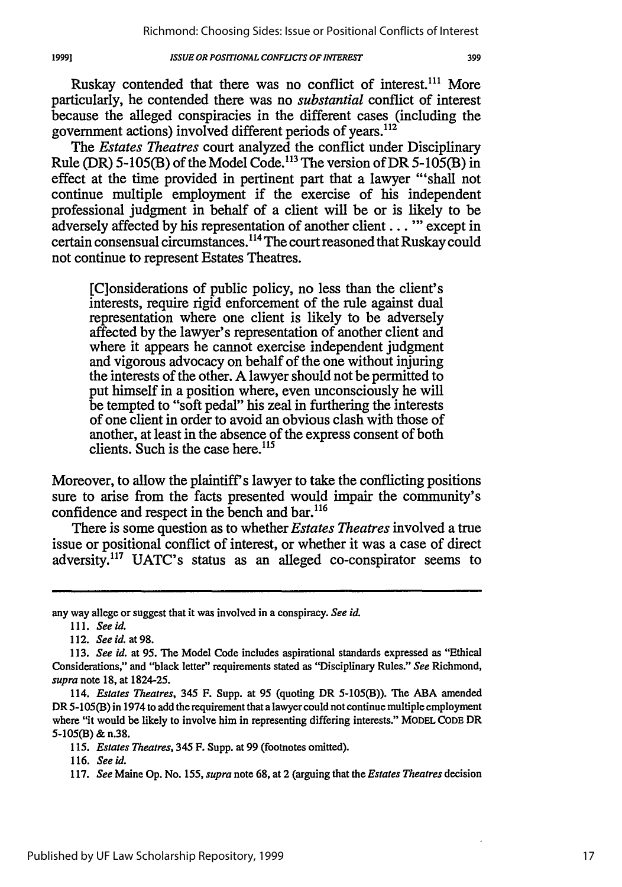Ruskay contended that there was no conflict of interest.<sup>111</sup> More particularly, he contended there was no *substantial* conflict of interest because the alleged conspiracies in the different cases (including the government actions) involved different periods of years. $^{112}$ 

*The Estates Theatres* court analyzed the conflict under Disciplinary Rule (DR) 5-105(B) of the Model Code.<sup>113</sup> The version of DR 5-105(B) in effect at the time provided in pertinent part that a lawyer "'shall not continue multiple employment if the exercise of his independent professional judgment in behalf of a client will be or is likely to be adversely affected by his representation of another client... **"'** except in certain consensual circumstances.<sup>114</sup> The court reasoned that Ruskay could not continue to represent Estates Theatres.

[C]onsiderations of public policy, no less than the client's interests, require rigid enforcement of the rule against dual representation where one client is likely to be adversely affected by the lawyer's representation of another client and where it appears he cannot exercise independent judgment and vigorous advocacy on behalf of the one without injuring the interests of the other. A lawyer should not be permitted to put himself in a position where, even unconsciously he will be tempted to "soft pedal" his zeal in furthering the interests of one client in order to avoid an obvious clash with those of another, at least in the absence of the express consent of both clients. Such is the case here. $115$ 

Moreover, to allow the plaintiff's lawyer to take the conflicting positions sure to arise from the facts presented would impair the community's confidence and respect in the bench and bar.<sup>116</sup>

There is some question as to whether *Estates Theatres* involved a true issue or positional conflict of interest, or whether it was a case of direct adversity.<sup>117</sup> UATC's status as an alleged co-conspirator seems to

19991

any way allege or suggest that it was involved in a conspiracy. *See id.*

<sup>111.</sup> *See id.*

<sup>112.</sup> *See id. at 98.*

<sup>113.</sup> *See id.* at 95. The Model Code includes aspirational standards expressed as "Ethical Considerations," and "black letter" requirements stated as "Disciplinary Rules." *See* Richmond, *supra* note 18, at 1824-25.

<sup>114.</sup> *Estates Theatres,* 345 F. Supp. at 95 (quoting DR 5-105(B)). The ABA amended DR 5-105(B) in 1974 to add the requirement that a lawyer could not continue multiple employment where "it would be likely to involve him in representing differing interests." MODEL **CODE** DR 5-105(B) & n.38.

<sup>115.</sup> *Estates Theatres,* 345 F. Supp. at 99 (footnotes omitted).

<sup>116.</sup> *Seeid.*

<sup>117.</sup> *See* Maine Op. No. *155, supra* note 68, at 2 (arguing that the *Estates Theatres* decision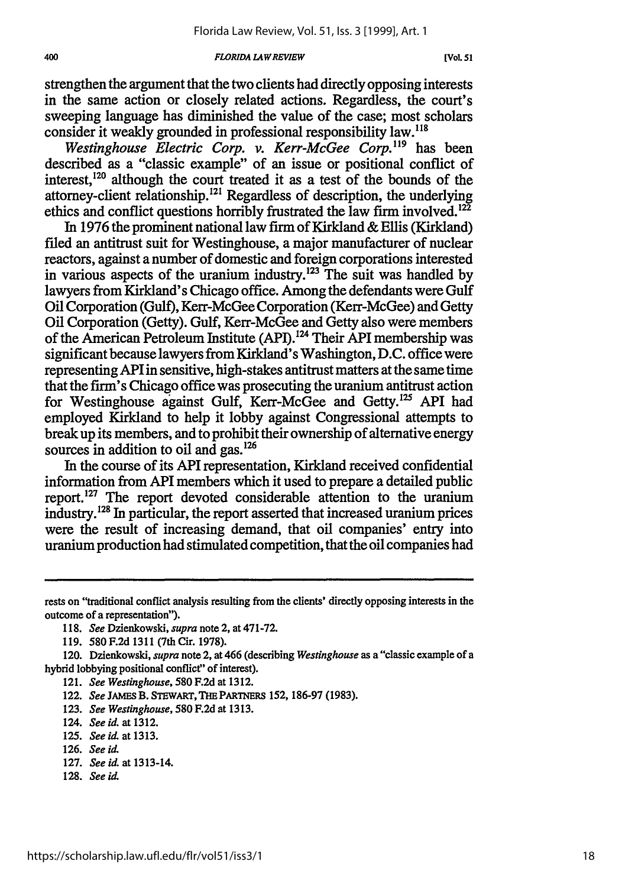#### *FLORIDA LAWREVIEW*

strengthen the argument that the two clients had directly opposing interests in the same action or closely related actions. Regardless, the court's sweeping language has diminished the value of the case; most scholars consider it weakly grounded in professional responsibility law.<sup>118</sup>

*Westinghouse Electric Corp. v. Kerr-McGee Corp.'19* has been described as a "classic example" of an issue or positional conflict of interest,  $120$  although the court treated it as a test of the bounds of the attorney-client relationship.<sup>121</sup> Regardless of description, the underlying ethics and conflict questions horribly frustrated the law firm involved. $^{12\bar{2}}$ 

In 1976 the prominent national law firm of Kirkland & Ellis (Kirkland) filed an antitrust suit for Westinghouse, a major manufacturer of nuclear reactors, against a number of domestic and foreign corporations interested in various aspects of the uranium industry.<sup>123</sup> The suit was handled by lawyers from Kirkland's Chicago office. Among the defendants were Gulf Oil Corporation (Gulf), Kerr-McGee Corporation (Kerr-McGee) and Getty Oil Corporation (Getty). Gulf, Kerr-McGee and Getty also were members of the American Petroleum Institute (API).<sup>124</sup> Their API membership was significant because lawyers from Kirkland's Washington, D.C. office were representing APIin sensitive, high-stakes antitrust matters at the same time that the firm's Chicago office was prosecuting the uranium antitrust action for Westinghouse against Gulf, Kerr-McGee and Getty.<sup>125</sup> API had employed Kirkland to help it lobby against Congressional attempts to break up its members, and to prohibit their ownership of alternative energy sources in addition to oil and gas.<sup>126</sup>

In the course of its API representation, Kirkland received confidential information from API members which it used to prepare a detailed public report.<sup>127</sup> The report devoted considerable attention to the uranium industry.<sup>128</sup> In particular, the report asserted that increased uranium prices were the result of increasing demand, that oil companies' entry into uranium production had stimulated competition, that the oil companies had

123. *See Westinghouse,* 580 F.2d at 1313.

- 127. *See id.* at 1313-14.
- 128. *See iL*

rests on "traditional conflict analysis resulting from the clients' directly opposing interests in the outcome of a representation").

<sup>118.</sup> *See* Dzienkowski, *supra* note 2, at 471-72.

<sup>119. 580</sup> F.2d 1311 (7th Cir. 1978).

<sup>120.</sup> Dzienkowski, *supra* note 2, at 466 (describing *Westinghouse* as a "classic example of a hybrid lobbying positional conflict" of interest).

<sup>121.</sup> *See Westinghouse,* **580** F.2d at 1312.

<sup>122.</sup> See JAMES B. STEWART, THE PARTNERS 152, 186-97 (1983).

<sup>124.</sup> *See id. at* 1312.

<sup>125.</sup> *See id.* at **1313.**

<sup>126.</sup> *See id.*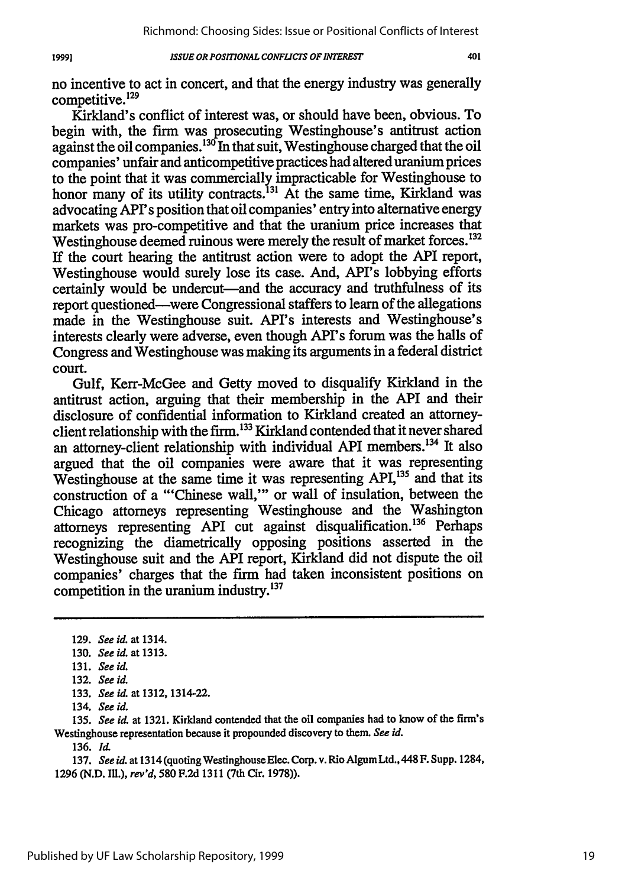401

no incentive to act in concert, and that the energy industry was generally competitive. $129$ 

Kirkland's conflict of interest was, or should have been, obvious. To begin with, the firm was prosecuting Westinghouse's antitrust action against the oil companies.<sup>130</sup> In that suit, Westinghouse charged that the oil companies' unfair and anticompetitive practices had altered uranium prices to the point that it was commercially impracticable for Westinghouse to honor many of its utility contracts.<sup>131</sup> At the same time, Kirkland was advocating API's position that oil companies' entry into alternative energy markets was pro-competitive and that the uranium price increases that Westinghouse deemed ruinous were merely the result of market forces.<sup>132</sup>

If the court hearing the antitrust action were to adopt the API report, Westinghouse would surely lose its case. And, API's lobbying efforts certainly would be undercut—and the accuracy and truthfulness of its report questioned-were Congressional staffers to learn of the allegations made in the Westinghouse suit. API's interests and Westinghouse's interests clearly were adverse, even though API's forum was the halls of Congress and Westinghouse was making its arguments in a federal district court.

Gulf, Kerr-McGee and Getty moved to disqualify Kirkland in the antitrust action, arguing that their membership in the API and their disclosure of confidential information to Kirkland created an attorneyclient relationship with the firm.133 Kirkland contended that it never shared an attorney-client relationship with individual API members.<sup>134</sup> It also argued that the oil companies were aware that it was representing Westinghouse at the same time it was representing API,<sup>135</sup> and that its construction of a "'Chinese wall,"' or wall of insulation, between the Chicago attorneys representing Westinghouse and the Washington attorneys representing API cut against disqualification.<sup>136</sup> Perhaps recognizing the diametrically opposing positions asserted in the Westinghouse suit and the API report, Kirkland did not dispute the oil companies' charges that the firm had taken inconsistent positions on competition in the uranium industry.<sup>137</sup>

19991

136. *ld.*

137. *See id.* at 1314 (quoting WestinghouseElec. Corp. v. Rio AlgumLtd.,448 F. Supp. 1284, 1296 (N.D. ILL.), *rev'd,* 580 F.2d 1311 (7th Cir. 1978)).

<sup>129.</sup> *See id.* at 1314.

<sup>130.</sup> *See id.* at 1313.

<sup>131.</sup> *See id.*

<sup>132.</sup> *See id.*

<sup>133.</sup> *See id.* at 1312, 1314-22.

<sup>134.</sup> *See id.*

<sup>135.</sup> *See id.* at 1321. Kirkland contended that the oil companies had to know of the firm's Westinghouse representation because it propounded discovery to them. *See id.*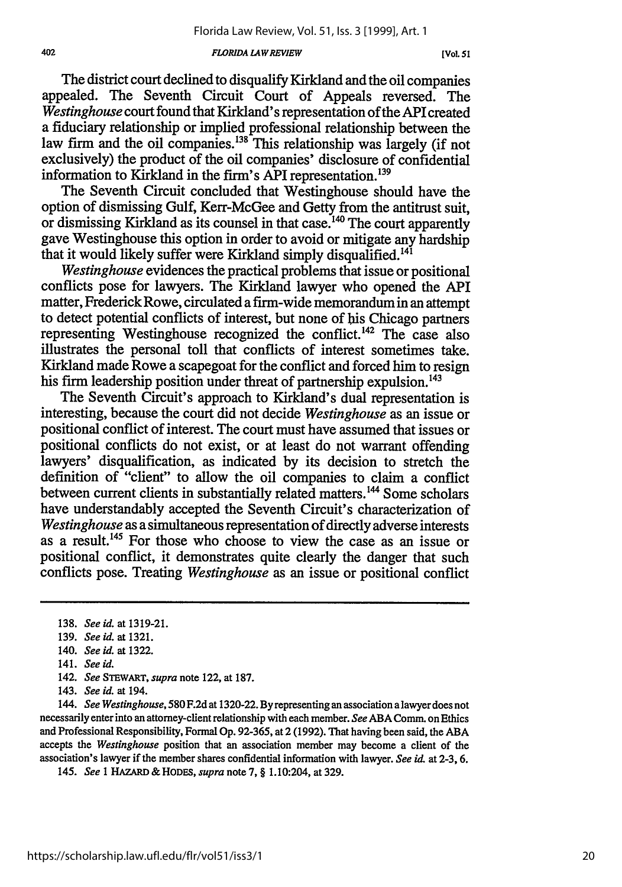#### *FLORIDA LAW REVIEW*

The district court declined to disqualify Kirkland and the oil companies appealed. The Seventh Circuit Court of Appeals reversed. The *Westinghouse* court found that Kirkland's representation of the API created a fiduciary relationship or implied professional relationship between the law firm and the oil companies.<sup>138</sup> This relationship was largely (if not exclusively) the product of the oil companies' disclosure of confidential information to Kirkland in the firm's API representation.<sup>139</sup>

The Seventh Circuit concluded that Westinghouse should have the option of dismissing Gulf, Kerr-McGee and Getty from the antitrust suit, or dismissing Kirkland as its counsel in that case.<sup>140</sup> The court apparently gave Westinghouse this option in order to avoid or mitigate any hardship that it would likely suffer were Kirkland simply disqualified.<sup>141</sup>

*Westinghouse* evidences the practical problems that issue or positional conflicts pose for lawyers. The Kirkland lawyer who opened the API matter, Frederick Rowe, circulated a firm-wide memorandum in an attempt to detect potential conflicts of interest, but none of his Chicago partners representing Westinghouse recognized the conflict.<sup>142</sup> The case also illustrates the personal toll that conflicts of interest sometimes take. Kirkland made Rowe a scapegoat for the conflict and forced him to resign his firm leadership position under threat of partnership expulsion.<sup>143</sup>

The Seventh Circuit's approach to Kirkland's dual representation is interesting, because the court did not decide *Westinghouse* as an issue or positional conflict of interest. The court must have assumed that issues or positional conflicts do not exist, or at least do not warrant offending lawyers' disqualification, as indicated by its decision to stretch the definition of "client" to allow the oil companies to claim a conflict between current clients in substantially related matters.<sup>144</sup> Some scholars have understandably accepted the Seventh Circuit's characterization of *Westinghouse* as a simultaneous representation of directly adverse interests as a result.<sup>145</sup> For those who choose to view the case as an issue or positional conflict, it demonstrates quite clearly the danger that such conflicts pose. Treating *Westinghouse* as an issue or positional conflict

139. *See id.* at 1321.

- 141. *See id.*
- 142. *See STEWART, supra* note 122, at 187.
- 143. *See id.* at 194.

144. *See Westinghouse, 580* F.2d at 1320-22. By representing an association a lawyer does not necessarily enter into an attorney-client relationship with each member. *See* ABA Comm. on Ethics and Professional Responsibility, Formal Op. **92-365,** at 2 (1992). That having been said, the ABA accepts the *Westinghouse* position that an association member may become a client of the association's lawyer if the member shares confidential information with lawyer. *See id.* at 2-3, 6.

145. *See 1* HAZARD *&* **HODES,** *supra* note 7, § 1.10:204, at 329.

<sup>138.</sup> *See id.* at 1319-21.

<sup>140.</sup> *See id.* at 1322.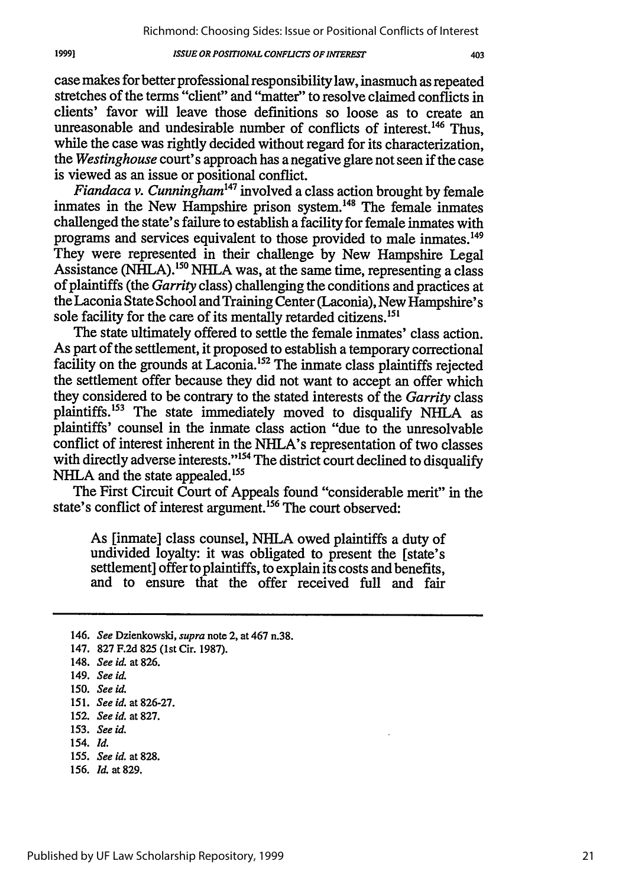case makes for better professional responsibility law, inasmuch as repeated stretches of the terms "client" and "matter" to resolve claimed conflicts in clients' favor will leave those definitions so loose as to create an unreasonable and undesirable number of conflicts of interest. 146 Thus, while the case was rightly decided without regard for its characterization, the *Westinghouse* court's approach has a negative glare not seen if the case is viewed as an issue or positional conflict.

*Fiandaca v. Cunningham47* involved a class action brought by female inmates in the New Hampshire prison system.<sup>148</sup> The female inmates challenged the state's failure to establish a facility for female inmates with programs and services equivalent to those provided to male inmates. <sup>149</sup> They were represented in their challenge by New Hampshire Legal Assistance (NHLA).<sup>150</sup> NHLA was, at the same time, representing a class of plaintiffs (the *Garrity* class) challenging the conditions and practices at the Laconia State School and Training Center (Laconia), New Hampshire's sole facility for the care of its mentally retarded citizens.<sup>151</sup>

The state ultimately offered to settle the female inmates' class action. As part of the settlement, it proposed to establish a temporary correctional facility on the grounds at Laconia.<sup>152</sup> The inmate class plaintiffs rejected the settlement offer because they did not want to accept an offer which they considered to be contrary to the stated interests of the *Garrity* class plaintiffs.<sup>153</sup> The state immediately moved to disqualify NHLA as plaintiffs' counsel in the inmate class action "due to the unresolvable conflict of interest inherent in the NHLA's representation of two classes with directly adverse interests."<sup>154</sup> The district court declined to disqualify NHLA and the state appealed.<sup>155</sup>

The First Circuit Court of Appeals found "considerable merit" in the state's conflict of interest argument.<sup>156</sup> The court observed:

As [inmate] class counsel, NHLA owed plaintiffs a duty of undivided loyalty: it was obligated to present the [state's settlement] offer to plaintiffs, to explain its costs and benefits, and to ensure that the offer received full and fair

147. 827 F.2d 825 (lst Cir. 1987).

19991

- 153. *See* id.
- 154. *Id.*
- 155. *See id.* at 828.
- 156. *Il* at 829.

403

<sup>146.</sup> *See* Dzienkowski, *supra* note 2, at 467 n.38.

<sup>148.</sup> *See id.* at 826.

<sup>149.</sup> *See id.*

<sup>150.</sup> *See id.*

<sup>151.</sup> *Seeid.* at 826-27.

<sup>152.</sup> *See id.* at 827.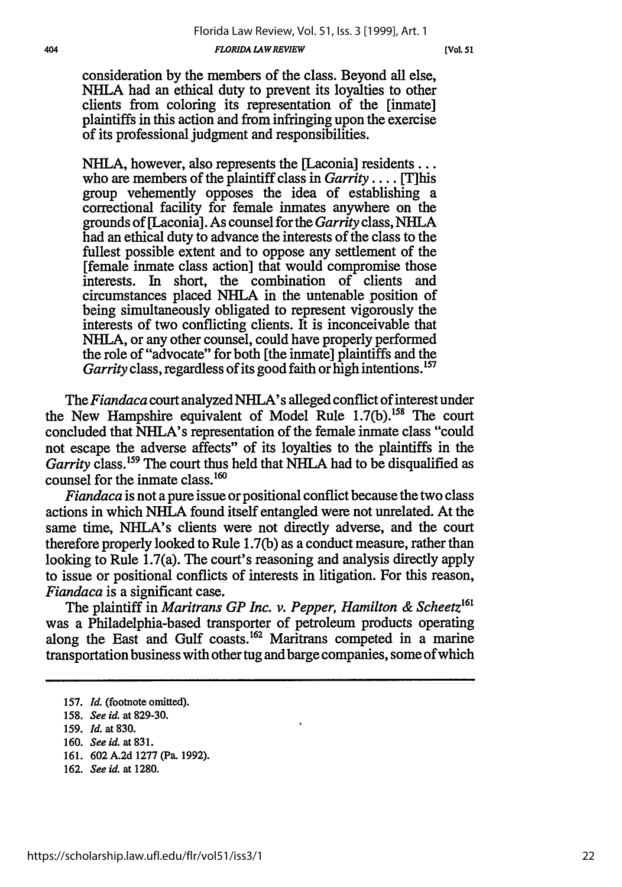consideration by the members of the class. Beyond all else, NHLA had an ethical duty to prevent its loyalties to other clients from coloring its representation of the [inmate] plaintiffs in this action and from infringing upon the exercise of its professional judgment and responsibilities.

NHLA, however, also represents the [Laconia] residents... who are members of the plaintiff class in *Garrity ....* [T]his group vehemently opposes the idea of establishing a correctional facility for female inmates anywhere on the grounds of [Laconia]. As counsel for the *Garrity* class, NHLA had an ethical duty to advance the interests of the class to the fullest possible extent and to oppose any settlement of the [female inmate class action] that would compromise those interests. In short, the combination of clients and circumstances placed NHLA in the untenable position of being simultaneously obligated to represent vigorously the interests of two conflicting clients. It is inconceivable that NHLA, or any other counsel, could have properly performed the role of "advocate" for both [the inmate] plaintiffs and the *Garrity* class, regardless of its good faith or high intentions.'<sup>57</sup>

The *Fiandaca* court analyzed NHLA's alleged conflict of interest under the New Hampshire equivalent of Model Rule 1.7(b).<sup>158</sup> The court concluded that NHLA's representation of the female inmate class "could not escape the adverse affects" of its loyalties to the plaintiffs in the *Garrity* class.<sup>159</sup> The court thus held that NHLA had to be disqualified as counsel for the inmate class.<sup>160</sup>

*Fiandaca* is not a pure issue or positional conflict because the two class actions in which NHLA found itself entangled were not unrelated. At the same time, NHLA's clients were not directly adverse, and the court therefore properly looked to Rule 1.7(b) as a conduct measure, rather than looking to Rule 1.7(a). The court's reasoning and analysis directly apply to issue or positional conflicts of interests in litigation. For this reason, *Fiandaca* is a significant case.

The plaintiff in *Maritrans GP Inc. v. Pepper, Hamilton & Scheetz'* was a Philadelphia-based transporter of petroleum products operating along the East and Gulf coasts.<sup>162</sup> Maritrans competed in a marine transportation business with other tug and barge companies, some of which

**162.** *See id.* at **1280.**

**<sup>157.</sup>** *Id.* (footnote omitted).

**<sup>158.</sup>** *See id.* at **829-30.**

**<sup>159.</sup>** *Id.* at **830.**

**<sup>160.</sup>** *See id.* at **831.**

**<sup>161. 602</sup> A.2d 1277** (Pa. **1992).**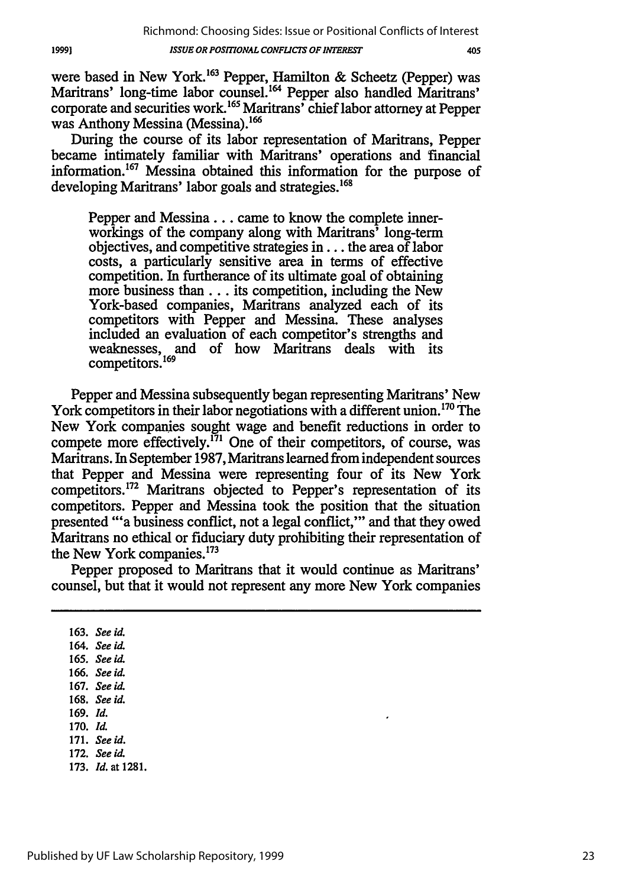were based in New York.<sup>163</sup> Pepper, Hamilton & Scheetz (Pepper) was Maritrans' long-time labor counsel.<sup>164</sup> Pepper also handled Maritrans' corporate and securities work.<sup>165</sup> Maritrans' chief labor attorney at Pepper was Anthony Messina (Messina).<sup>166</sup>

During the course of its labor representation of Maritrans, Pepper became intimately familiar with Maritrans' operations and financial information.<sup>167</sup> Messina obtained this information for the purpose of developing Maritrans' labor goals and strategies.<sup>168</sup>

Pepper and Messina... came to know the complete innerworkings of the company along with Maritrans' long-term objectives, and competitive strategies in... the area of labor costs, a particularly sensitive area in terms of effective competition. In furtherance of its ultimate goal of obtaining more business than... its competition, including the New York-based companies, Maritrans analyzed each of its competitors with Pepper and Messina. These analyses included an evaluation of each competitor's strengths and weaknesses, and of how Maritrans deals with its competitors. <sup>169</sup>

Pepper and Messina subsequently began representing Maritrans' New York competitors in their labor negotiations with a different union.<sup>170</sup> The New York companies sought wage and benefit reductions in order to compete more effectively.<sup> $171$ </sup> One of their competitors, of course, was Maritrans. In September 1987, Maritrans learned from independent sources that Pepper and Messina were representing four of its New York competitors. 172 Maritrans objected to Pepper's representation of its competitors. Pepper and Messina took the position that the situation presented "'a business conflict, not a legal conflict,"' and that they owed Maritrans no ethical or fiduciary duty prohibiting their representation of the New York companies.<sup>173</sup>

Pepper proposed to Maritrans that it would continue as Maritrans' counsel, but that it would not represent any more New York companies

**163.** *See id.* 164. *See id.* **165.** *See id.* **166.** *See id.* **167.** *See id.* **168.** *See id.* **169.** *Id.* **170.** *Id.* **171.** *See id.* **172.** *See id.* **173.** *Id.* at 1281.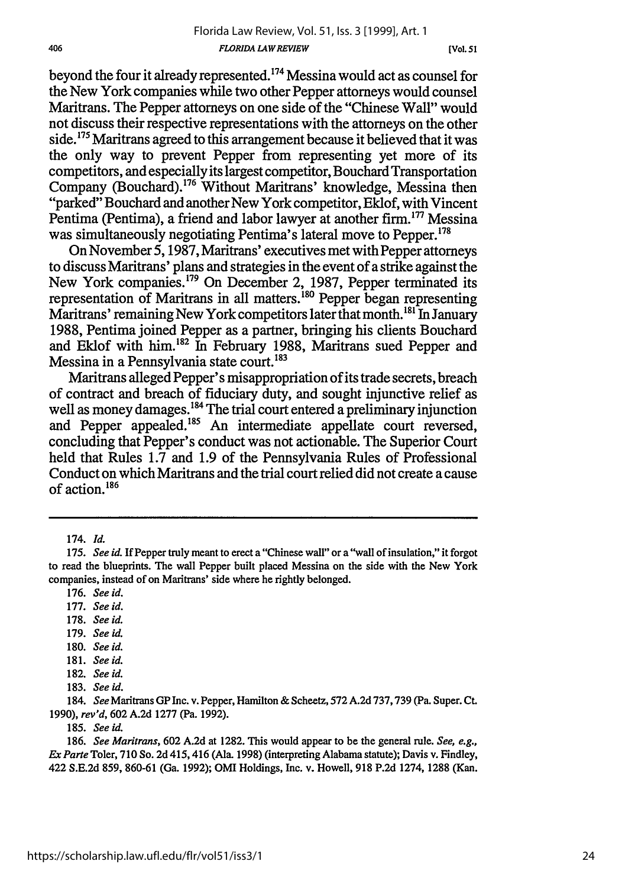beyond the four it already represented.<sup>174</sup> Messina would act as counsel for the New York companies while two other Pepper attorneys would counsel Maritrans. The Pepper attorneys on one side of the "Chinese Wall" would not discuss their respective representations with the attorneys on the other side.<sup>175</sup> Maritrans agreed to this arrangement because it believed that it was the only way to prevent Pepper from representing yet more of its competitors, and especially its largest competitor, Bouchard Transportation Company (Bouchard).<sup>176</sup> Without Maritrans' knowledge, Messina then "parked" Bouchard and another New York competitor, Eklof, with Vincent Pentima (Pentima), a friend and labor lawyer at another firm.<sup>177</sup> Messina was simultaneously negotiating Pentima's lateral move to Pepper.'78

On November 5,1987, Maritrans' executives met with Pepper attorneys to discuss Maritrans' plans and strategies in the event of a strike against the New York companies. 179 On December 2, 1987, Pepper terminated its representation of Maritrans in all matters.<sup>180</sup> Pepper began representing Maritrans' remaining New York competitors later that month.<sup>181</sup> In January 1988, Pentima joined Pepper as a partner, bringing his clients Bouchard and Eklof with him.<sup>182</sup> In February 1988, Maritrans sued Pepper and Messina in a Pennsylvania state court.<sup>183</sup>

Maritrans alleged Pepper's misappropriation of its trade secrets, breach of contract and breach of fiduciary duty, and sought injunctive relief as well as money damages.<sup>184</sup> The trial court entered a preliminary injunction and Pepper appealed.<sup>185</sup> An intermediate appellate court reversed, concluding that Pepper's conduct was not actionable. The Superior Court held that Rules 1.7 and 1.9 of the Pennsylvania Rules of Professional Conduct on which Maritrans and the trial court relied did not create a cause of action.'86

- 180. *See id.*
- 181. *See id.*
- 182. See id.
- 183. See **id.**

184. *See* Maritrans GP Inc. v. Pepper, Hamilton & Scheetz, 572 A.2d 737,739 (Pa. Super. Ct. 1990), *rev'd,* 602 A.2d 1277 (Pa. 1992).

**185.** See **id.**

186. *See Maritrans,* 602 A.2d at 1282. This would appear to be the general rule. *See, e.g., Ex Parte* Toler, 710 So. 2d 415,416 (Ala. 1998) (interpreting Alabama statute); Davis v. Findley, 422 S.E.2d 859, 860-61 (Ga. 1992); OMI Holdings, Inc. v. Howell, 918 P.2d 1274, 1288 (Kan.

<sup>174.</sup> Id.

<sup>175.</sup> See id. If Pepper truly meant to erect a "Chinese wall" or a "wall of insulation," it forgot to read the blueprints. The wall Pepper built placed Messina on the side with the New York companies, instead of on Maritrans' side where he rightly belonged.

<sup>176.</sup> *See id.*

<sup>177.</sup> *See id.*

<sup>178.</sup> *See id.*

<sup>179.</sup> *See id.*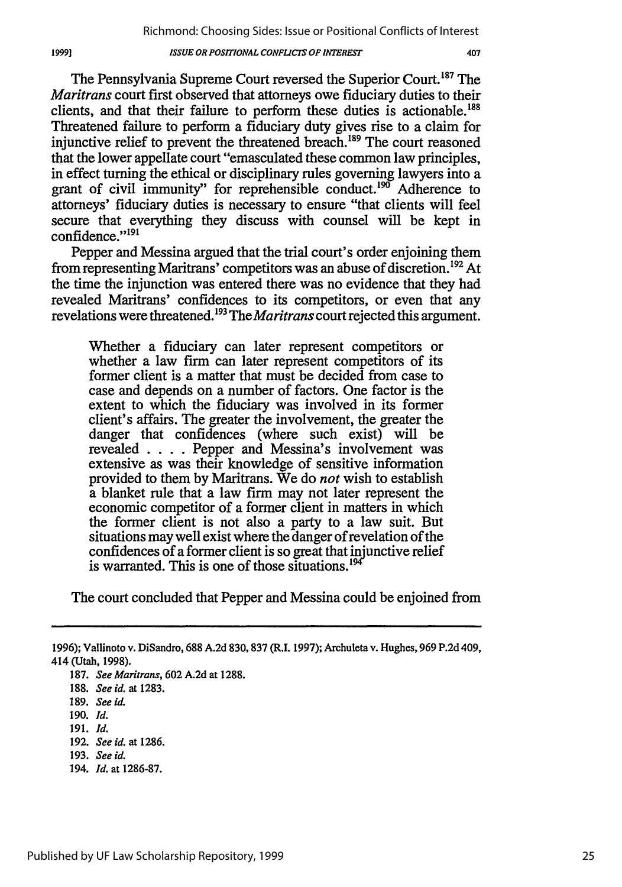The Pennsylvania Supreme Court reversed the Superior Court.<sup>187</sup> The *Maritrans* court first observed that attorneys owe fiduciary duties to their clients, and that their failure to perform these duties is actionable.188 Threatened failure to perform a fiduciary duty gives rise to a claim for injunctive relief to prevent the threatened breach.<sup>189</sup> The court reasoned that the lower appellate court "emasculated these common law principles, in effect turning the ethical or disciplinary rules governing lawyers into a grant of civil immunity" for reprehensible conduct.<sup>190</sup> Adherence to attorneys' fiduciary duties is necessary to ensure "that clients will feel secure that everything they discuss with counsel will be kept in confidence."<sup>191</sup>

Pepper and Messina argued that the trial court's order enjoining them from representing Maritrans' competitors was an abuse of discretion.<sup>192</sup> At the time the injunction was entered there was no evidence that they had revealed Maritrans' confidences to its competitors, or even that any revelations were threatened. 93 The *Maritrans* court rejected this argument.

Whether a fiduciary can later represent competitors or whether a law firm can later represent competitors of its former client is a matter that must be decided from case to case and depends on a number of factors. One factor is the extent to which the fiduciary was involved in its former client's affairs. The greater the involvement, the greater the danger that confidences (where such exist) will be revealed .**. .** .Pepper and Messina's involvement was extensive as was their knowledge of sensitive information provided to them by Maritrans. We do *not* wish to establish a blanket rule that a law firm may not later represent the economic competitor of a former client in matters in which the former client is not also a party to a law suit. But situations may well exist where the danger of revelation of the confidences of a former client is so great that injunctive relief is warranted. This is one of those situations.<sup>194</sup>

The court concluded that Pepper and Messina could be enjoined from

- 191. *Id.*
- 192. *See id.* at 1286.
- 193. See id.
- 194. **Id.** at 1286-87.

<sup>1996);</sup> Vallinoto v. DiSandro, 688 A.2d 830, 837 (R.I. 1997); Archuleta v. Hughes, 969 P.2d 409, 414 (Utah, 1998).

<sup>187.</sup> *See Maritrans,* 602 A.2d at 1288.

<sup>188.</sup> *See id.* at **1283.**

<sup>189.</sup> See **id.**

<sup>190.</sup> *Id.*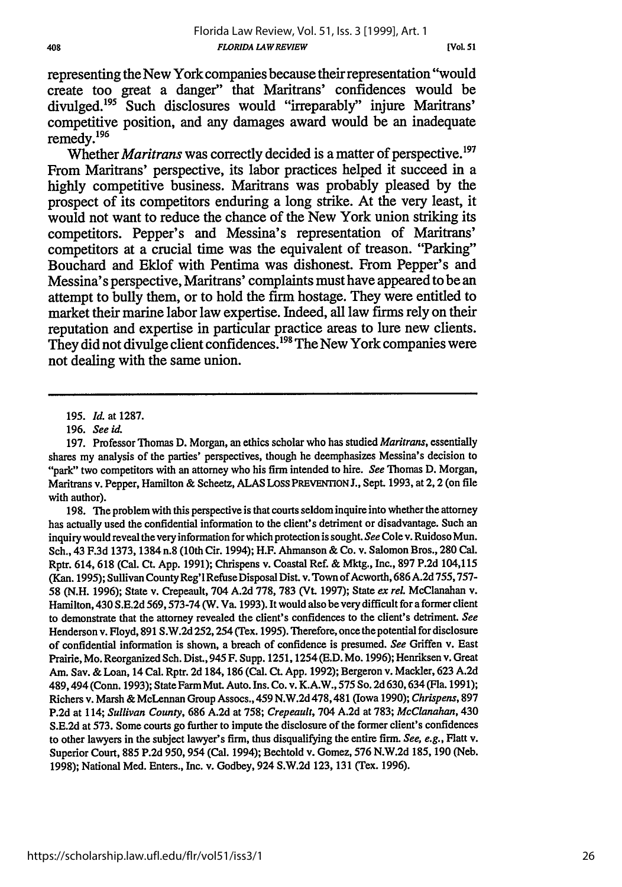representing the New York companies because their representation "would create too great a danger" that Maritrans' confidences would be divulged.<sup>195</sup> Such disclosures would "irreparably" injure Maritrans competitive position, and any damages award would be an inadequate remedy.196

Whether *Maritrans* was correctly decided is a matter of perspective.<sup>197</sup> From Maritrans' perspective, its labor practices helped it succeed in a **highly** competitive business. Maritrans was probably pleased **by** the prospect of its competitors enduring a long strike. At the very least, it would not want to reduce the chance of the New York union striking its competitors. Pepper's and Messina's representation of Maritrans' competitors at a crucial time was the equivalent of treason. "Parking" Bouchard and Eklof with Pentima was dishonest. From Pepper's and Messina's perspective, Maritrans' complaints must have appeared to be an attempt to bully them, or to hold the fimn hostage. They were entitled to market their marine labor law expertise. Indeed, all law **firms** rely on their reputation and expertise in particular practice areas to lure new clients. They did not divulge client confidences.<sup>198</sup> The New York companies were not dealing with the same union.

198. The problem with this perspective is that courts seldom inquire into whether the attorney has actually used the confidential information to the client's detriment or disadvantage. Such an inquiry would reveal the very information for which protection is sought. *See* Cole v. Ruidoso Mun. Sch., 43 F.3d 1373, 1384 n.8 (10th Cir. 1994); H.F. Ahmanson & Co. v. Salomon Bros., 280 Cal. Rptr. 614, 618 (Cal. Ct. App. 1991); Chrispens v. Coastal Ref. & Mktg., Inc., 897 P.2d 104,115 (Kan. 1995); Sullivan County Reg'l Refuse Disposal Dist. v. Town of Acworth, 686 A.2d 755,757- **58 (N.H. 1996);** State v. Crepeault, 704 **A.2d** 778, **783** (Vt. 1997); State *ex reL* McClanahan v. Hamilton, 430 S.E.2d 569,573-74 (W. Va. 1993). It would also be very difficult for a former client to demonstrate that the attorney revealed the client's confidences to the client's detriment. *See* Henderson v. Floyd, 891 S.W.2d 252, 254 (Tex. 1995). Therefore, once the potential for disclosure of confidential information is shown, a breach of confidence is presumed. *See* Griffen v. East Prairie, Mo. Reorganized Sch. Dist., 945 F. Supp. 1251,1254 (E.D. Mo. 1996); Henriksen v. Great Am. Say. & Loan, 14 Cal. Rptr. **2d** 184, 186 (Cal. **Ct.** App. 1992); Bergeron v. Mackler, 623 A.2d 489, 494 (Conn. 1993); State Farm Mut. Auto. Ins. Co. v. K.A.W., 575 So. 2d 630, 634 (Fla. 1991); Richers v. Marsh & McLennan Group Assocs., 459 N.W.2d 478,481 (Iowa 1990); *Chrispens,* 897 P.2d at 114; *Sullivan County,* 686 A.2d at 758; *Crepeault,* 704 A.2d at 783; *McClanahan,* 430 **S.E.2d** at 573. Some courts go further to impute the disclosure of the former client's confidences to other lawyers in the subject lawyer's firm, thus disqualifying the entire firm. *See, e.g., Flatt* v. Superior Court, 885 P.2d 950, 954 (Cal. 1994); Bechtold v. Gomez, 576 N.W.2d 185, 190 (Neb. 1998); National Med. Enters., Inc. v. Godbey, 924 S.W.2d 123, 131 (Tex. 1996).

*<sup>195.</sup> Id.* at 1287.

<sup>196.</sup> *See id.*

<sup>197.</sup> Professor Thomas D. Morgan, an ethics scholar who has studied *Maritrans,* essentially shares my analysis of the parties' perspectives, though he deemphasizes Messina's decision to "park" two competitors with an attorney who his firm intended to hire. *See* Thomas D. Morgan, Maritrans v. Pepper, Hamilton & Scheetz, ALAS LOSS PREVENTION J., Sept. 1993, at 2, 2 (on file with author).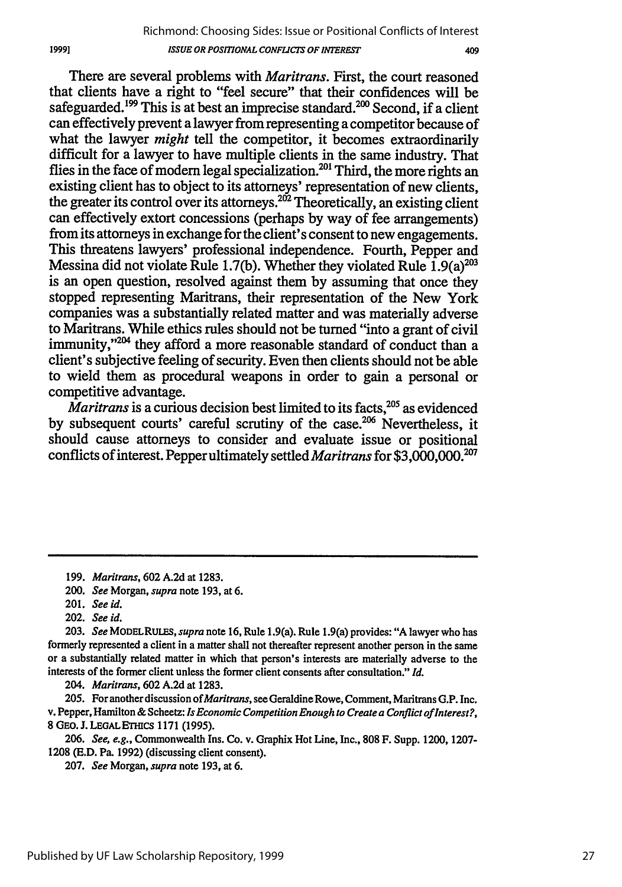There are several problems with *Maritrans.* First, the court reasoned that clients have a right to "feel secure" that their confidences will be safeguarded.<sup>199</sup> This is at best an imprecise standard.<sup>200</sup> Second, if a client can effectively prevent a lawyer from representing a competitor because of what the lawyer *might* tell the competitor, it becomes extraordinarily difficult for a lawyer to have multiple clients in the same industry. That flies in the face of modern legal specialization.<sup>201</sup> Third, the more rights an existing client has to object to its attorneys' representation of new clients, the greater its control over its attorneys.<sup>202</sup> Theoretically, an existing client can effectively extort concessions (perhaps by way of fee arrangements) from its attorneys in exchange for the client's consent to new engagements. This threatens lawyers' professional independence. Fourth, Pepper and Messina did not violate Rule 1.7(b). Whether they violated Rule  $1.9(a)^{203}$ is an open question, resolved against them by assuming that once they stopped representing Maritrans, their representation of the New York companies was a substantially related matter and was materially adverse to Maritrans. While ethics rules should not be turned "into a grant of civil immunity,"<sup>204</sup> they afford a more reasonable standard of conduct than a client's subjective feeling of security. Even then clients should not be able to wield them as procedural weapons in order to gain a personal or competitive advantage.

 $\dot{M}$ aritrans is a curious decision best limited to its facts,  $^{205}$  as evidenced by subsequent courts' careful scrutiny of the case.<sup>206</sup> Nevertheless, it should cause attorneys to consider and evaluate issue or positional conflicts of interest. Pepper ultimately settled *Maritrans* for **\$3,000,000.207**

*204. Maritrans,* 602 A.2d at 1283.

205. For another discussion *of Maritrans,* see Geraldine Rowe, Comment, Maritrans G.P. Inc. v. Pepper, Hamilton & Scheetz: *Is Economic Competition Enough to Create a Conflict of Interest?,* **8** GEO. **J. LEGALEThiCS** 1171 (1995).

*206. See, e.g.,* Commonwealth Ins. Co. v. Graphix Hot Line, Inc., **808** F. Supp. 1200, 1207- **1208 (E.D.** Pa. **1992)** (discussing client consent).

207. *See* Morgan, *supra* note 193, at 6.

19991

<sup>199.</sup> *Maritrans,* 602 A.2d at 1283.

*<sup>200.</sup> See* Morgan, *supra* note 193, at 6.

<sup>201.</sup> See id.

<sup>202.</sup> *See id.*

<sup>203.</sup> *See* MODELRULES, *supra* note 16, Rule 1.9(a). Rule 1.9(a) provides: "A lawyer who has formerly represented a client in a matter shall not thereafter represent another person in the same or a substantially related matter in which that person's interests are materially adverse to the interests of the former client unless the former client consents after consultation." *Id.*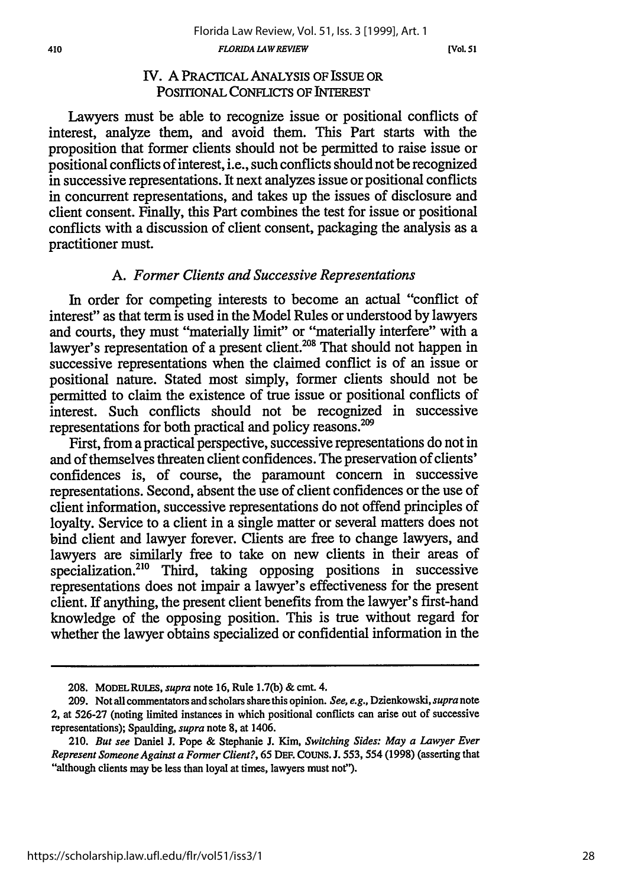**[Vol. 51**

# IV. A PRACTICAL ANALYSIS OF ISSUE OR POSITIONAL CONFLICTS OF INTEREST

Lawyers must be able to recognize issue or positional conflicts of interest, analyze them, and avoid them. This Part starts with the proposition that former clients should not be permitted to raise issue or positional conflicts of interest, i.e., such conflicts should not be recognized in successive representations. It next analyzes issue or positional conflicts in concurrent representations, and takes up the issues of disclosure and client consent. Finally, this Part combines the test for issue or positional conflicts with a discussion of client consent, packaging the analysis as a practitioner must.

# *A. Forner Clients and Successive Representations*

In order for competing interests to become an actual "conflict of interest" as that term is used in the Model Rules or understood by lawyers and courts, they must "materially limit" or "materially interfere" with a lawyer's representation of a present client.<sup>208</sup> That should not happen in successive representations when the claimed conflict is of an issue or positional nature. Stated most simply, former clients should not be permitted to claim the existence of true issue or positional conflicts of interest. Such conflicts should not be recognized in successive representations for both practical and policy reasons.<sup>20</sup>

First, from a practical perspective, successive representations do not in and of themselves threaten client confidences. The preservation of clients' confidences is, of course, the paramount concern in successive representations. Second, absent the use of client confidences or the use of client information, successive representations do not offend principles of loyalty. Service to a client in a single matter or several matters does not bind client and lawyer forever. Clients are free to change lawyers, and lawyers are similarly free to take on new clients in their areas of specialization.<sup>210</sup> Third, taking opposing positions in successive representations does not impair a lawyer's effectiveness for the present client. If anything, the present client benefits from the lawyer's first-hand knowledge of the opposing position. This is true without regard for whether the lawyer obtains specialized or confidential information in the

**<sup>208.</sup>** MODEL **RULES,** *supra* note **16,** Rule 1.7(b) **&** cmt. 4.

**<sup>209.</sup>** Not all commentators and scholars share this opinion. *See, e.g.,* Dzienkowski, *supra* note 2, at 526-27 (noting limited instances in which positional conflicts can arise out of successive representations); Spaulding, *supra* note 8, at 1406.

<sup>210.</sup> *But see* Daniel **J.** Pope **&** Stephanie **J.** Kim, *Switching Sides: May a Lawyer Ever Represent Someone Against a Former Client?,* **65 DEF.** COUNs. **J. 553,** 554 **(1998)** (asserting that "although clients **may** be less than loyal at times, lawyers must not").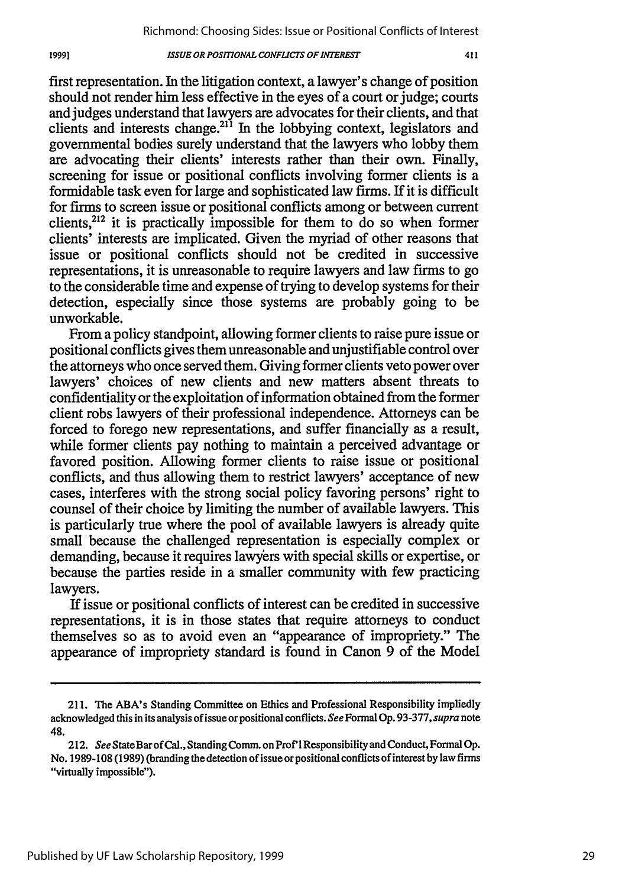first representation. In the litigation context, a lawyer's change of position should not render him less effective in the eyes of a court or judge; courts and judges understand that lawyers are advocates for their clients, and that clients and interests change.<sup>211</sup> In the lobbying context, legislators and governmental bodies surely understand that the lawyers who lobby them are advocating their clients' interests rather than their own. Finally, screening for issue or positional conflicts involving former clients is a formidable task even for large and sophisticated law firms. If it is difficult for firms to screen issue or positional conflicts among or between current clients, $2^{12}$  it is practically impossible for them to do so when former clients' interests are implicated. Given the myriad of other reasons that issue or positional conflicts should not be credited in successive representations, it is unreasonable to require lawyers and law firms to go to the considerable time and expense of trying to develop systems for their detection, especially since those systems are probably going to be unworkable.

From a policy standpoint, allowing former clients to raise pure issue or positional conflicts gives them unreasonable and unjustifiable control over the attorneys who once served them. Giving former clients veto power over lawyers' choices of new clients and new matters absent threats to confidentiality or the exploitation of information obtained from the former client robs lawyers of their professional independence. Attorneys can be forced to forego new representations, and suffer financially as a result, while former clients pay nothing to maintain a perceived advantage or favored position. Allowing former clients to raise issue or positional conflicts, and thus allowing them to restrict lawyers' acceptance of new cases, interferes with the strong social policy favoring persons' right to counsel of their choice by limiting the number of available lawyers. This is particularly true where the pool of available lawyers is already quite small because the challenged representation is especially complex or demanding, because it requires lawyers with special skills or expertise, or because the parties reside in a smaller community with few practicing lawyers.

If issue or positional conflicts of interest can be credited in successive representations, it is in those states that require attorneys to conduct themselves so as to avoid even an "appearance of impropriety." The appearance of impropriety standard is found in Canon 9 of the Model

411

<sup>211.</sup> The ABA's Standing Committee on Ethics and Professional Responsibility impliedly acknowledged this in its analysis of issue or positional conflicts. *See* Formal Op. 93-377, *supra* note 48.

<sup>212.</sup> *See* StateBar of Cal., Standing Comm. on Prof'l Responsibility and Conduct, Formal Op. No. 1989-108 (1989) (branding the detection of issue or positional conflicts of interest bylaw firms "virtually impossible").

<sup>19991</sup>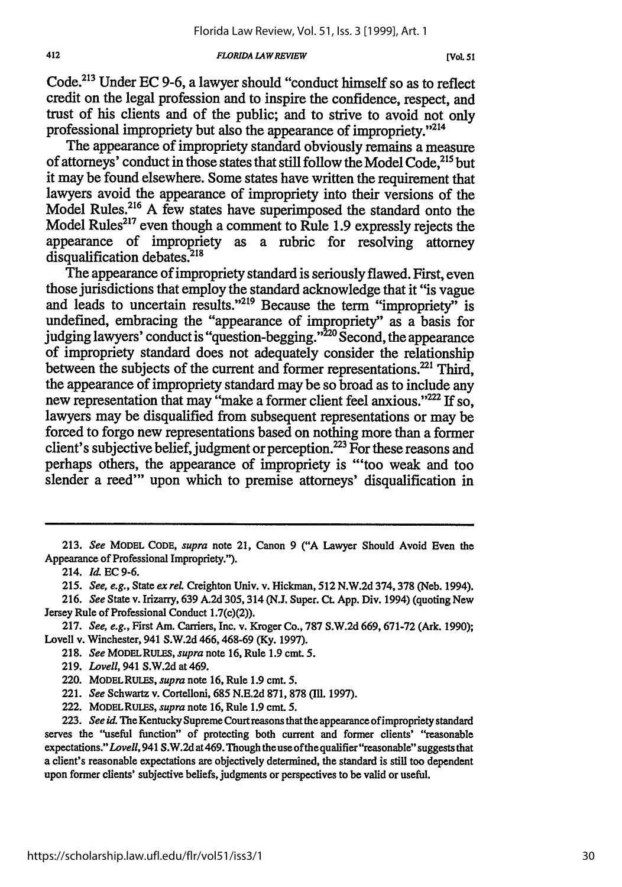#### *FLORIDA LA W REVIEW*

Code.<sup>213</sup> Under EC 9-6, a lawyer should "conduct himself so as to reflect credit on the legal profession and to inspire the confidence, respect, and trust of his clients and of the public; and to strive to avoid not only professional impropriety but also the appearance of impropriety."2'14

The appearance of impropriety standard obviously remains a measure of attorneys' conduct in those states that still follow the Model Code.<sup>215</sup> but it may be found elsewhere. Some states have written the requirement that lawyers avoid the appearance of impropriety into their versions of the Model Rules.<sup>216</sup> A few states have superimposed the standard onto the Model Rules<sup>217</sup> even though a comment to Rule 1.9 expressly rejects the appearance of impropriety as a rubric for resolving attorney disqualification debates.<sup>218</sup>

The appearance of impropriety standard is seriously flawed. First, even those jurisdictions that employ the standard acknowledge that it "is vague and leads to uncertain results."<sup>219</sup> Because the term "impropriety" is undefined, embracing the "appearance of impropriety" as a basis for judging lawyers' conduct is "question-begging." 220 Second, the appearance of impropriety standard does not adequately consider the relationship between the subjects of the current and former representations.<sup>221</sup> Third, the appearance of impropriety standard may be so broad as to include any new representation that may "make a former client feel anxious."<sup>222</sup> If so, lawyers may be disqualified from subsequent representations or may be forced to forgo new representations based on nothing more than a former client's subjective belief, judgment or perception.<sup>223</sup> For these reasons and perhaps others, the appearance of impropriety is "'too weak and too slender a reed" upon which to premise attorneys' disqualification in

<sup>213.</sup> *See* MODEL CODE, *supra* note 21, Canon 9 ("A Lawyer Should Avoid Even the Appearance of Professional Impropriety.").

<sup>214.</sup> *Id.* EC 9-6.

<sup>215.</sup> *See, e.g.,* State *ex rel.* Creighton Univ. v. Hickman, **512** N.W.2d 374,378 (Neb. 1994).

<sup>216.</sup> *See* State v. Irizarry, 639 A.2d 305,314 (N.J. Super. Ct. App. Div. 1994) (quoting New Jersey Rule of Professional Conduct 1.7(c)(2)).

<sup>217.</sup> *See, e.g.,* First Am. Carriers, Inc. v. Kroger Co., 787 S.W.2d 669, 671-72 (Ark. 1990); Lovell v. Winchester, 941 S.W.2d 466, 468-69 (Ky. 1997).

<sup>218.</sup> *See* MODELRULES, *supra* note 16, Rule 1.9 cm. 5.

<sup>219.</sup> *Lovell,* 941 S.W.2d at 469.

<sup>220.</sup> MODEL RULES, *supra* note 16, Rule 1.9 cmt. 5.

<sup>221.</sup> *See* Schwartz v. Cortelloni, 685 N.E.2d 871, 878 **(M1.** 1997).

<sup>222.</sup> MODELRULES, *supra* note 16, Rule 1.9 cmt. **5.**

<sup>223.</sup> *See id.* The Kentucky Supreme Court reasons that the appearance of impropriety standard serves the "useful function" of protecting both current and former clients' "reasonable expectations." *Lovell,* 941 S.W.2d at469. Though theuse of the qualifier"reasonable" suggests that a client's reasonable expectations are objectively determined, the standard is still too dependent upon former clients' subjective beliefs, judgments or perspectives to be valid or useful.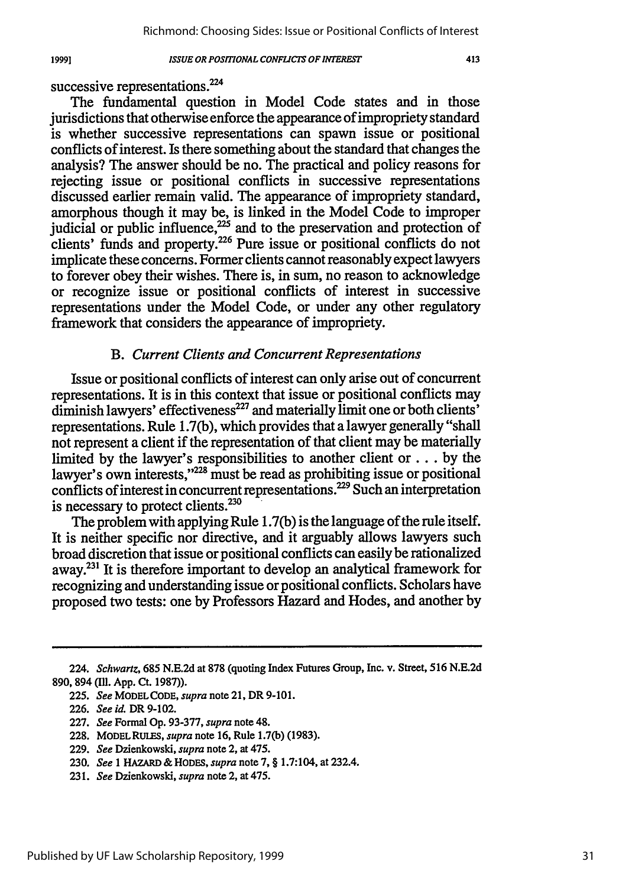### 19991

## *ISSUE OR POSITIONAL CONFLICTS OF INTEREST*

successive representations.<sup>224</sup>

The fundamental question in Model Code states and in those jurisdictions that otherwise enforce the appearance of impropriety standard is whether successive representations can spawn issue or positional conflicts of interest. Is there something about the standard that changes the analysis? The answer should be no. The practical and policy reasons for rejecting issue or positional conflicts in successive representations discussed earlier remain valid. The appearance of impropriety standard, amorphous though it may be, is linked in the Model Code to improper judicial or public influence, $^{225}$  and to the preservation and protection of clients' funds and property.<sup>226</sup> Pure issue or positional conflicts do not implicate these concerns. Former clients cannot reasonably expect lawyers to forever obey their wishes. There is, in sum, no reason to acknowledge or recognize issue or positional conflicts of interest in successive representations under the Model Code, or under any other regulatory framework that considers the appearance of impropriety.

# *B. Current Clients and Concurrent Representations*

Issue or positional conflicts of interest can only arise out of concurrent representations. It is in this context that issue or positional conflicts may diminish lawyers' effectiveness<sup>227</sup> and materially limit one or both clients' representations. Rule 1.7(b), which provides that a lawyer generally "shall not represent a client if the representation of that client may be materially limited by the lawyer's responsibilities to another client or  $\dots$  by the lawyer's own interests,"<sup>228</sup> must be read as prohibiting issue or positional conflicts of interest in concurrent representations.<sup>229</sup> Such an interpretation is necessary to protect clients. $230$ 

The problem with applying Rule 1.7(b) is the language of the rule itself. It is neither specific nor directive, and it arguably allows lawyers such broad discretion that issue or positional conflicts can easily be rationalized away.231 It is therefore important to develop an analytical framework for recognizing and understanding issue or positional conflicts. Scholars have proposed two tests: one by Professors Hazard and Hodes, and another by

<sup>224.</sup> *Schwartz,* **685 N.E.2d** at 878 (quoting Index Futures Group, Inc. v. Street, 516 N.E.2d **890,** 894 **(Il1. App.** Ct. **1987)).**

**<sup>225.</sup>** *See* MODELCODE, *supra* note 21, DR **9-101.**

**<sup>226.</sup>** *See id.* DR **9-102.**

<sup>227.</sup> *See* Formal Op. 93-377, *supra* note 48.

<sup>228.</sup> MODELRULES, *supra* note 16, Rule 1.7(b) (1983).

<sup>229.</sup> *See* Dzienkowski, *supra* note 2, at 475.

**<sup>230.</sup>** *See* 1 HAZARD & HODES, *supra* note 7, § 1.7:104, at 232.4.

<sup>231.</sup> *See* Dzienkowski, *supra* note 2, at 475.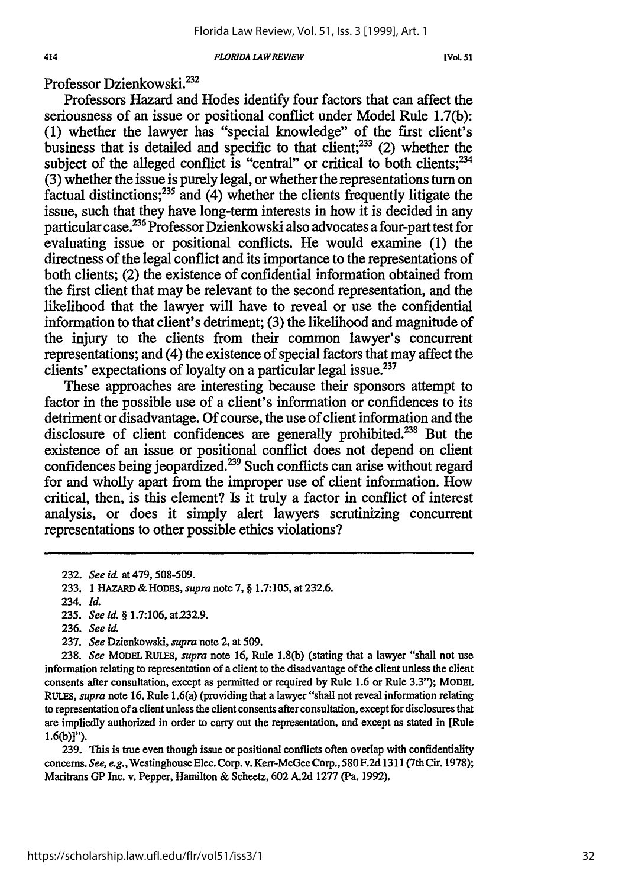#### *FLORIDA LAWREVIEW*

**[VOL** *5* **1**

Professor Dzienkowski.232

Professors Hazard and Hodes identify four factors that can affect the seriousness of an issue or positional conflict under Model Rule 1.7(b): (1) whether the lawyer has "special knowledge" of the first client's business that is detailed and specific to that client;<sup>233</sup> (2) whether the subject of the alleged conflict is "central" or critical to both clients; $^{234}$ (3) whether the issue is purely legal, or whether the representations turn on factual distinctions; 235 and (4) whether the clients frequently litigate the issue, such that they have long-term interests in how it is decided in any particular **case.2 36** Professor Dzienkowski also advocates a four-part test for evaluating issue or positional conflicts. He would examine (1) the directness of the legal conflict and its importance to the representations of both clients; (2) the existence of confidential information obtained from the first client that may be relevant to the second representation, and the likelihood that the lawyer will have to reveal or use the confidential information to that client's detriment; (3) the likelihood and magnitude of the injury to the clients from their common lawyer's concurrent representations; and (4) the existence of special factors that may affect the clients' expectations of loyalty on a particular legal issue.<sup>237</sup>

These approaches are interesting because their sponsors attempt to factor in the possible use of a client's information or confidences to its detriment or disadvantage. Of course, the use of client information and the disclosure of client confidences are generally prohibited.238 But the existence of an issue or positional conflict does not depend on client confidences being jeopardized.<sup>239</sup> Such conflicts can arise without regard for and wholly apart from the improper use of client information. How critical, then, is this element? Is it truly a factor in conflict of interest analysis, or does it simply alert lawyers scrutinizing concurrent representations to other possible ethics violations?

237. *See* Dzienkowski, *supra* note 2, at 509.

238. *See* MODEL RULES, *supra* note 16, Rule **1.8(b)** (stating that a lawyer "shall not use information relating to representation of a client to the disadvantage of the client unless the client consents after consultation, except as permitted or required by Rule 1.6 or Rule 3.3"); MODEL *RULES, supra* note 16, Rule 1.6(a) (providing that a lawyer "shall not reveal information relating to representation of a client unless the client consents after consultation, except for disclosures that are impliedly authorized in order to carry out the representation, and except as stated in [Rule **1.6(b)]").**

**239.** This is true even though issue or positional conflicts often overlap with confidentiality concerns. *See,* e.g.,WestinghouseElec. Corp. v. Kerr-McGee Corp., 580 F.2d 1311 (7th Cir. 1978); Maritrans GP Inc. v. Pepper, Hamilton **&** Scheetz, 602 A.2d 1277 (Pa. 1992).

<sup>232.</sup> *See* id. at 479, 508-509.

<sup>233. 1</sup> HAZARD & HODES, *supra* note 7, **§** 1.7:105, at 232.6.

<sup>234.</sup> *Id.*

**<sup>235.</sup>** *See id.* § 1.7:106, at 232.9.

<sup>236.</sup> *See id.*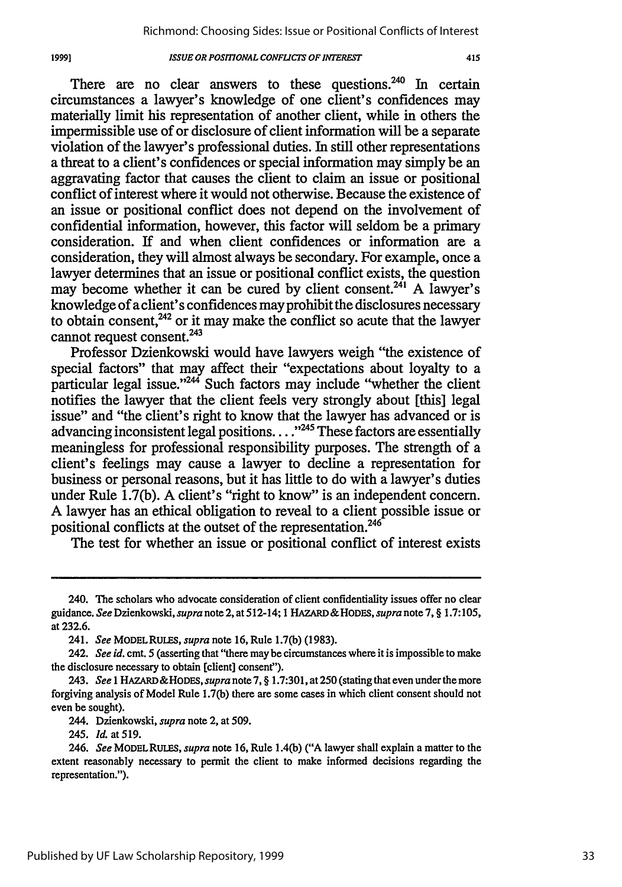There are no clear answers to these questions. $240$  In certain circumstances a lawyer's knowledge of one client's confidences may materially limit his representation of another client, while in others the impermissible use of or disclosure of client information will be a separate violation of the lawyer's professional duties. In still other representations a threat to a client's confidences or special information may simply be an aggravating factor that causes the client to claim an issue or positional conflict of interest where it would not otherwise. Because the existence of an issue or positional conflict does not depend on the involvement of confidential information, however, this factor will seldom be a primary consideration. **If** and when client confidences or information are a consideration, they will almost always be secondary. For example, once a lawyer determines that an issue or positional conflict exists, the question may become whether it can be cured by client consent.<sup>241</sup> A lawyer's knowledge of a client's confidences may prohibit the disclosures necessary to obtain consent, $242$  or it may make the conflict so acute that the lawyer cannot request consent.<sup>243</sup>

Professor Dzienkowski would have lawyers weigh "the existence of special factors" that may affect their "expectations about loyalty to a particular legal issue."<sup>244</sup> Such factors may include "whether the client notifies the lawyer that the client feels very strongly about [this] legal issue" and "the client's right to know that the lawyer has advanced or is advancing inconsistent legal positions... **"245** These factors are essentially meaningless for professional responsibility purposes. The strength of a client's feelings may cause a lawyer to decline a representation for business or personal reasons, but it has little to do with a lawyer's duties under Rule 1.7(b). A client's "right to know" is an independent concern. A lawyer has an ethical obligation to reveal to a client possible issue or positional conflicts at the outset of the representation.<sup>246</sup>

The test for whether an issue or positional conflict of interest exists

<sup>240.</sup> The scholars who advocate consideration of client confidentiality issues offer no clear guidance. *See* Dzienkowski, *supra* note 2, at 512-14; 1 HAZARD & HODES, *supra* note 7, § 1.7:105, at 232.6.

<sup>241.</sup> *See* MODELRULES, *supra* note 16, Rule 1.7(b) (1983).

<sup>242.</sup> *See id.* cmt. 5 (asserting that "there may be circumstances where it is impossible to make the disclosure necessary to obtain [client] consent").

<sup>243.</sup> *See* **I** HAZARD&HODES, *supra* note 7, § 1.7:301, at 250 (stating that even under the more forgiving analysis of Model Rule 1.7(b) there are some cases in which client consent should not even be sought).

<sup>244.</sup> Dzienkowski, *supra* note 2, at 509.

<sup>245.</sup> *Id.* at 519.

<sup>246.</sup> *See* MODELRuIEs, *supra* note 16, Rule 1.4(b) ("A lawyer shall explain a matter to the extent reasonably necessary to permit the client to make informed decisions regarding the representation.").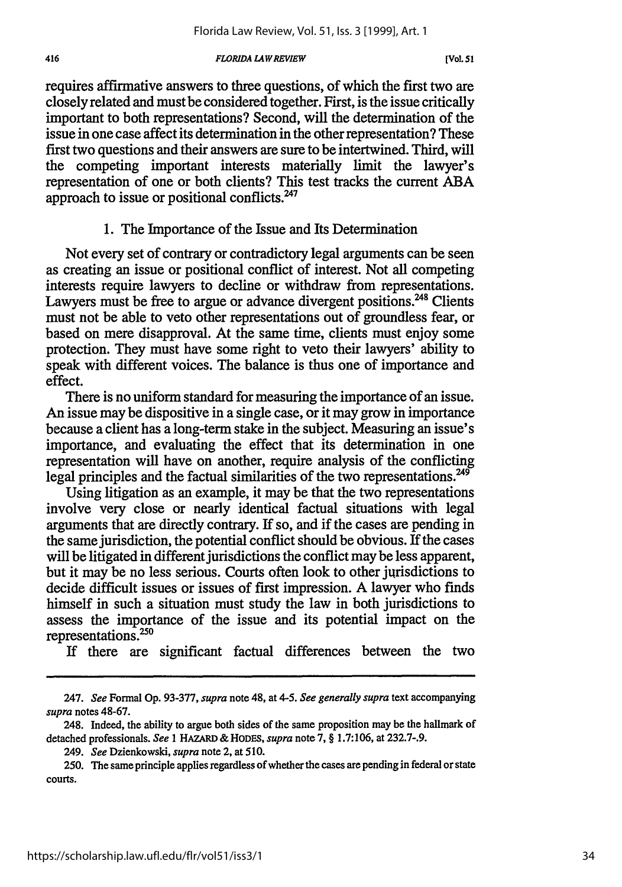## *FLORIDA LAWREVIEW*

requires affirmative answers to three questions, of which the first two are closely related and must be considered together. First, is the issue critically important to both representations? Second, will the determination of the issue in one case affect its determination in the other representation? These first two questions and their answers are sure to be intertwined. Third, will the competing important interests materially limit the lawyer's representation of one or both clients? This test tracks the current ABA approach to issue or positional conflicts. $247$ 

# 1. The Importance of the Issue and Its Determination

Not every set of contrary or contradictory legal arguments can be seen as creating an issue or positional conflict of interest. Not all competing interests require lawyers to decline or withdraw from representations. Lawyers must be free to argue or advance divergent positions.<sup>248</sup> Clients must not be able to veto other representations out of groundless fear, or based on mere disapproval. At the same time, clients must enjoy some protection. They must have some right to veto their lawyers' ability to speak with different voices. The balance is thus one of importance and effect.

There is no uniform standard for measuring the importance of an issue. An issue may be dispositive in a single case, or it may grow in importance because a client has a long-term stake in the subject. Measuring an issue's importance, and evaluating the effect that its determination in one representation will have on another, require analysis of the conflicting legal principles and the factual similarities of the two representations.<sup>249</sup>

Using litigation as an example, it may be that the two representations involve very close or nearly identical factual situations with legal arguments that are directly contrary. If so, and if the cases are pending in the same jurisdiction, the potential conflict should be obvious. **If** the cases will be litigated in different jurisdictions the conflict may be less apparent, but it may be no less serious. Courts often look to other jurisdictions to decide difficult issues or issues of first impression. A lawyer who finds himself in such a situation must study the law in both jurisdictions to assess the importance of the issue and its potential impact on the representations. $250$ 

If there are significant factual differences between the two

<sup>247.</sup> *See* Formal Op. 93-377, *supra* note 48, at *4-5. See generally supra* text accompanying *supra* notes 48-67.

<sup>248.</sup> Indeed, the ability to argue both sides of the same proposition may be the hallmark of detached professionals. *See* **1 HAZARD &** HODES, *supra* note 7, § 1.7:106, at 232.7-.9.

<sup>249.</sup> *See* Dzienkowski, *supra* note 2, at 510.

<sup>250.</sup> The same principle applies regardless of whether the cases are pending in federal or state courts.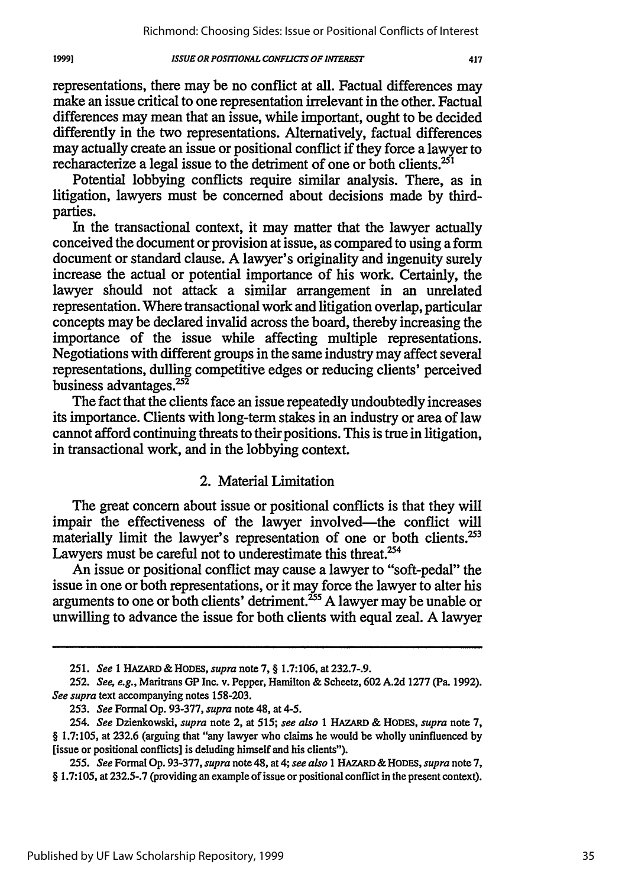1999]

representations, there may be no conflict at all. Factual differences may make an issue critical to one representation irrelevant in the other. Factual differences may mean that an issue, while important, ought to be decided differently in the two representations. Alternatively, factual differences may actually create an issue or positional conflict if they force a lawyer to recharacterize a legal issue to the detriment of one or both clients.<sup>251</sup>

Potential lobbying conflicts require similar analysis. There, as in litigation, lawyers must be concerned about decisions made by thirdparties.

In the transactional context, it may matter that the lawyer actually conceived the document or provision at issue, as compared to using a form document or standard clause. A lawyer's originality and ingenuity surely increase the actual or potential importance of his work. Certainly, the lawyer should not attack a similar arrangement in an unrelated representation. Where transactional work and litigation overlap, particular concepts may be declared invalid across the board, thereby increasing the importance of the issue while affecting multiple representations. Negotiations with different groups in the same industry may affect several representations, dulling competitive edges or reducing clients' perceived business advantages. $25\overline{2}$ 

The fact that the clients face an issue repeatedly undoubtedly increases its importance. Clients with long-term stakes in an industry or area of law cannot afford continuing threats to their positions. This is true in litigation, in transactional work, and in the lobbying context.

## 2. Material Limitation

The great concern about issue or positional conflicts is that they will impair the effectiveness of the lawyer involved—the conflict will materially limit the lawyer's representation of one or both clients. $253$ Lawyers must be careful not to underestimate this threat.<sup>254</sup>

An issue or positional conflict may cause a lawyer to "soft-pedal" the issue in one or both representations, or it may force the lawyer to alter his arguments to one or both clients' detriment.<sup>255</sup> A lawyer may be unable or unwilling to advance the issue for both clients with equal zeal. A lawyer

<sup>251.</sup> *See* 1 HAZARD **& HODES,** *supra* note 7, § 1.7:106, at 232.7-.9.

<sup>252.</sup> *See, e.g.,* Maritrans GP Inc. v. Pepper, Hamilton & Scheetz, **602** A.2d 1277 (Pa. 1992). *See supra* text accompanying notes 158-203.

<sup>253.</sup> *See* Formal Op. 93-377, *supra* note 48, at 4-5.

*<sup>254.</sup> See* Dzienkowski, *supra* note 2, at *515; see also* 1 **HAZARD & HODES,** *supra* note 7, § 1.7:105, at **232.6** (arguing that "any lawyer who claims he would be wholly uninfluenced by [issue or positional conflicts] is deluding himself and his clients").

*<sup>255.</sup> See* Formal Op. 93-377, *supra* note 48, at4; *see also* 1 HAZARD & HODES, *supra* note 7, § 1.7:105, at 232.5-.7 (providing an example of issue or positional conflict in the present context).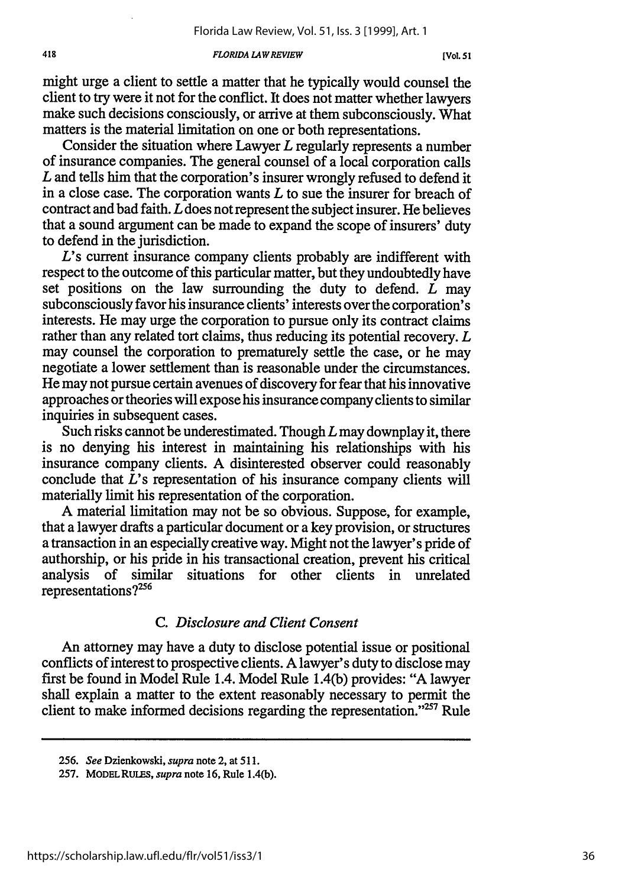#### *FLORIDA LAW REVIEW*

might urge a client to settle a matter that he typically would counsel the client to try were it not for the conflict. It does not matter whether lawyers make such decisions consciously, or arrive at them subconsciously. What matters is the material limitation on one or both representations.

Consider the situation where Lawyer *L* regularly represents a number of insurance companies. The general counsel of a local corporation calls *L* and tells him that the corporation's insurer wrongly refused to defend it in a close case. The corporation wants *L* to sue the insurer for breach of contract and bad faith. *L* does not represent the subject insurer. He believes that a sound argument can be made to expand the scope of insurers' duty to defend in the jurisdiction.

*L's* current insurance company clients probably are indifferent with respect to the outcome of this particular matter, but they undoubtedly have set positions on the law surrounding the duty to defend. *L* may subconsciously favor his insurance clients' interests over the corporation's interests. He may urge the corporation to pursue only its contract claims rather than any related tort claims, thus reducing its potential recovery. *L* may counsel the corporation to prematurely settle the case, or he may negotiate a lower settlement than is reasonable under the circumstances. He may not pursue certain avenues of discovery for fear that his innovative approaches or theories will expose his insurance company clients to similar inquiries in subsequent cases.

Such risks cannot be underestimated. Though *L* may downplay it, there is no denying his interest in maintaining his relationships with his insurance company clients. A disinterested observer could reasonably conclude that *L's* representation of his insurance company clients will materially limit his representation of the corporation.

A material limitation may not be so obvious. Suppose, for example, that a lawyer drafts a particular document or a key provision, or structures a transaction in an especially creative way. Might not the lawyer's pride of authorship, or his pride in his transactional creation, prevent his critical analysis of similar situations for other clients in unrelated representations? $256$ 

# *C. Disclosure and Client Consent*

An attorney may have a duty to disclose potential issue or positional conflicts of interest to prospective clients. A lawyer's duty to disclose may first be found in Model Rule 1.4. Model Rule 1.4(b) provides: "A lawyer shall explain a matter to the extent reasonably necessary to permit the client to make informed decisions regarding the representation." $257$  Rule

<sup>256.</sup> *See* Dzienkowski, *supra* note 2, at **511.**

<sup>257.</sup> MODELRULES, *supra* note **16,** Rule 1.4(b).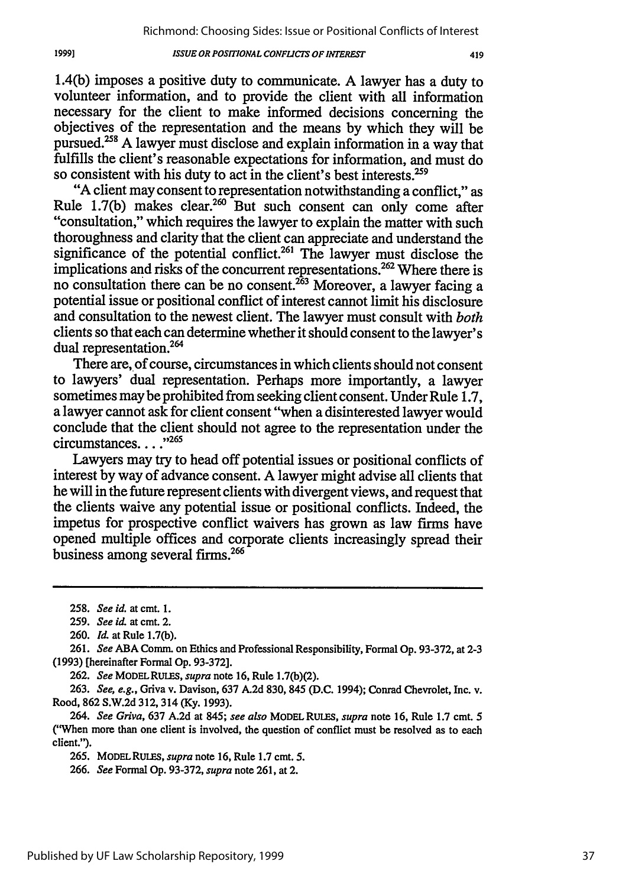1.4(b) imposes a positive duty to communicate. A lawyer has a duty to volunteer information, and to provide the client with all information necessary for the client to make informed decisions concerning the objectives of the representation and the means by which they will be pursued.<sup>258</sup> A lawyer must disclose and explain information in a way that fulfills the client's reasonable expectations for information, and must do so consistent with his duty to act in the client's best interests.<sup>259</sup>

"A client may consent to representation notwithstanding a conflict," as Rule 1.7(b) makes clear.<sup>260</sup> But such consent can only come after "consultation," which requires the lawyer to explain the matter with such thoroughness and clarity that the client can appreciate and understand the significance of the potential conflict.<sup>261</sup> The lawyer must disclose the implications and risks of the concurrent representations.<sup>262</sup> Where there is no consultation there can be no consent.<sup>263</sup> Moreover, a lawyer facing a potential issue or positional conflict of interest cannot limit his disclosure and consultation to the newest client. The lawyer must consult with *both* clients so that each can determine whether it should consent to the lawyer's dual representation.<sup>264</sup>

There are, of course, circumstances in which clients should not consent to lawyers' dual representation. Perhaps more importantly, a lawyer sometimes may be prohibited from seeking client consent. Under Rule 1.7, a lawyer cannot ask for client consent "when a disinterested lawyer would conclude that the client should not agree to the representation under the circumstances...."<sup>265</sup>

Lawyers may try to head off potential issues or positional conflicts of interest by way of advance consent. A lawyer might advise all clients that he will in the future represent clients with divergent views, and request that the clients waive any potential issue or positional conflicts. Indeed, the impetus for prospective conflict waivers has grown as law firms have opened multiple offices and corporate clients increasingly spread their business among several firms.<sup>266</sup>

262. *See* MODELRULES, *supra* note 16, Rule 1.7(b)(2).

263. *See, e.g.,* Griva v. Davison, 637 A.2d 830, 845 (D.C. 1994); Conrad Chevrolet, Inc. v. Rood, 862 S.W.2d 312, 314 (Ky. 1993).

264. *See Griva,* 637 A.2d at 845; *see also* MODEL RULES, *supra* note 16, Rule 1.7 cmt. 5 ("When more than one client is involved, the question of conflict must be resolved as to each client.").

265. MODELRULES, *supra* note 16, Rule 1.7 cmt. 5.

266. *See* Formal Op. 93-372, *supra* note 261, at 2.

<sup>258.</sup> *See id.* at cmt. I.

<sup>259.</sup> *See id.* at cmt. 2.

<sup>260.</sup> *Id.* at Rule 1.7(b).

<sup>261.</sup> *See* ABA Comm. on Ethics and Professional Responsibility, Formal Op. 93-372, at 2-3 (1993) [hereinafter Formal Op. 93-372].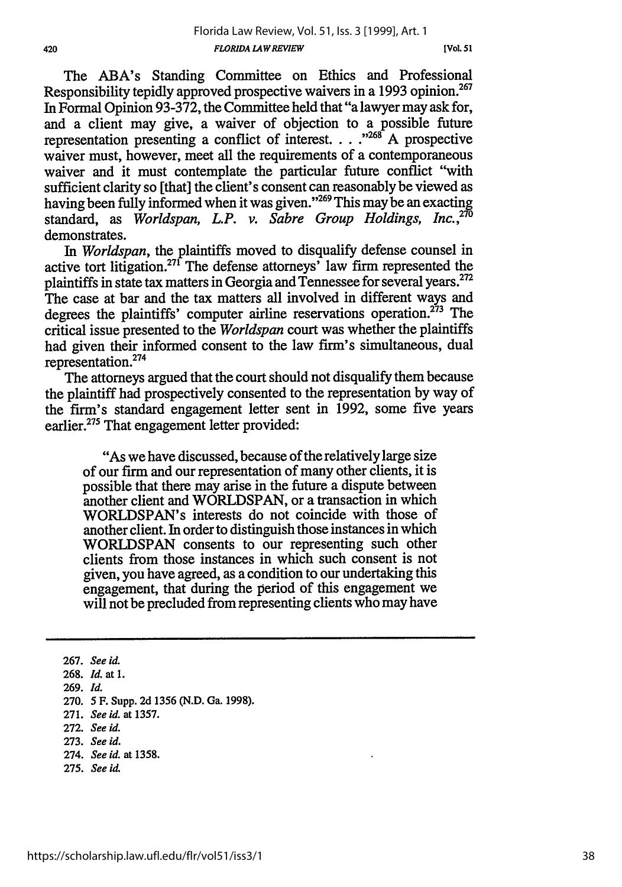The ABA's Standing Committee on Ethics and Professional Responsibility tepidly approved prospective waivers in a 1993 opinion.<sup>267</sup> In Formal Opinion 93-372, the Committee held that "a lawyer may ask for, and a client may give, a waiver of objection to a possible future representation presenting a conflict of interest **... ,,26'** A prospective waiver must, however, meet all the requirements of a contemporaneous waiver and it must contemplate the particular future conflict "with sufficient clarity so [that] the client's consent can reasonably be viewed as having been fully informed when it was given."<sup>269</sup> This may be an exacting standard, as *Worldspan, L.P. v. Sabre Group Holdings, Inc.,270* demonstrates.

*In Worldspan,* the plaintiffs moved to disqualify defense counsel in active tort litigation.27' The defense attorneys' law firm represented the plaintiffs in state tax matters in Georgia and Tennessee for several years.272 The case at bar and the tax matters all involved in different ways and degrees the plaintiffs' computer airline reservations operation.<sup> $273$ </sup> The critical issue presented to the *Worldspan* court was whether the plaintiffs had given their informed consent to the law firm's simultaneous, dual representation. <sup>274</sup>

The attorneys argued that the court should not disqualify them because the plaintiff had prospectively consented to the representation by way of the firm's standard engagement letter sent in 1992, some five years earlier.<sup>275</sup> That engagement letter provided:

"As we have discussed, because of the relatively large size of our firm and our representation of many other clients, it is possible that there may arise in the future a dispute between another client and WORLDSPAN, or a transaction in which WORLDSPAN's interests do not coincide with those of another client. In order to distinguish those instances in which WORLDSPAN consents to our representing such other clients from those instances in which such consent is not given, you have agreed, as a condition to our undertaking this engagement, that during the period of this engagement we will not be precluded from representing clients who may have

273. *See id.*

**275.** *See id.*

<sup>267.</sup> *See id.*

<sup>268.</sup> *Id.* at 1.

<sup>269.</sup> *Id.*

<sup>270.</sup> **5** F. Supp. 2d 1356 (N.D. Ga. 1998).

**<sup>271.</sup>** *See id.* at 1357.

<sup>272.</sup> *See id.*

<sup>274.</sup> *See id.* at **1358.**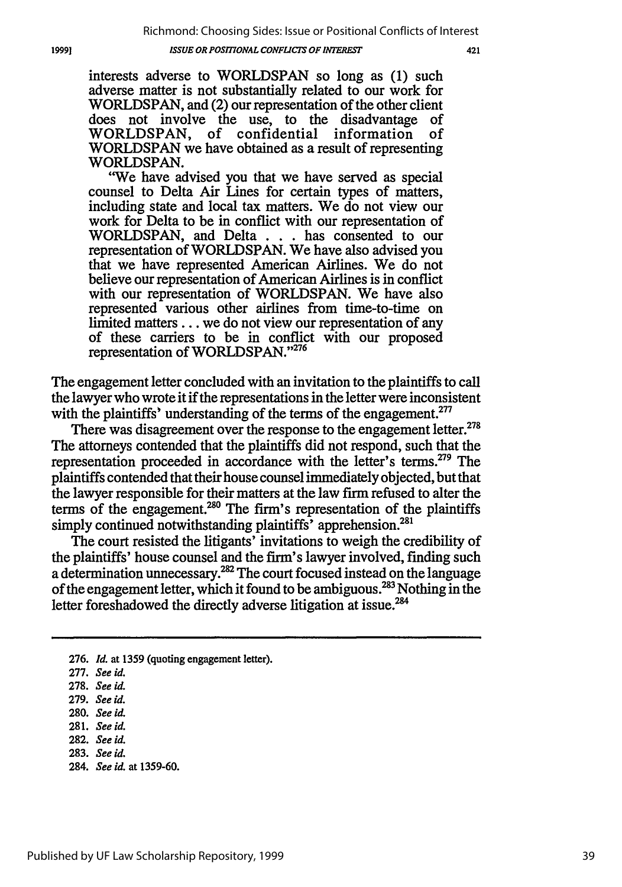interests adverse to WORLDSPAN so long as (1) such adverse matter is not substantially related to our work for WORLDSPAN, and (2) our representation of the other client does not involve the use, to the disadvantage of WORLDSPAN, of confidential information of WORLDSPAN we have obtained as a result of representing WORLDSPAN.

'We have advised you that we have served as special counsel to Delta Air Lines for certain types of matters, including state and local tax matters. We do not view our work for Delta to be in conflict with our representation of WORLDSPAN, and Delta . **. .** has consented to our representation of WORLDSPAN. We have also advised you that we have represented American Airlines. We do not believe our representation of American Airlines is in conflict with our representation of WORLDSPAN. We have also represented various other airlines from time-to-time on limited matters.., we do not view our representation of any of these carriers to be in conflict with our proposed representation of WORLDSPAN."276

The engagement letter concluded with an invitation to the plaintiffs to call the lawyer who wrote it if the representations in the letter were inconsistent with the plaintiffs' understanding of the terms of the engagement.<sup>277</sup>

There was disagreement over the response to the engagement letter.<sup>278</sup> The attorneys contended that the plaintiffs did not respond, such that the representation proceeded in accordance with the letter's terms.279 The plaintiffs contended that their house counsel immediately objected, but that the lawyer responsible for their matters at the law firm refused to alter the terms of the engagement.<sup>280</sup> The firm's representation of the plaintiffs simply continued notwithstanding plaintiffs' apprehension.<sup>281</sup>

The court resisted the litigants' invitations to weigh the credibility of the plaintiffs' house counsel and the firm's lawyer involved, finding such a determination unnecessary.<sup>282</sup> The court focused instead on the language of the engagement letter, which it found to be ambiguous. 23 Nothing in the letter foreshadowed the directly adverse litigation at issue.<sup>284</sup>

276. *Id.* at 1359 (quoting engagement letter).

19991

- 282. *See id.*
- 283. *See id.*
- 284. *See id.* at 1359-60.

<sup>277.</sup> *See id.*

**<sup>278.</sup>** *See id.*

<sup>279.</sup> *See id.*

<sup>280.</sup> *See* **id.**

<sup>281.</sup> *See id.*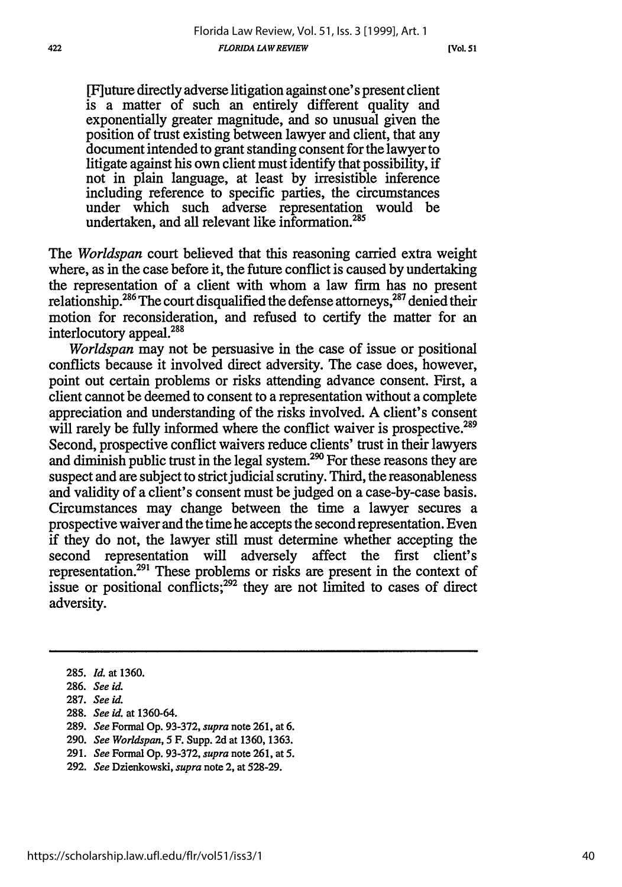[F] uture directly adverse litigation against one's present client is a matter of such an entirely different quality and exponentially greater magnitude, and so unusual given the position of trust existing between lawyer and client, that any document intended to grant standing consent for the lawyer to litigate against his own client must identify that possibility, if not in plain language, at least by irresistible inference including reference to specific parties, the circumstances under which such adverse representation would be undertaken, and all relevant like information.<sup>285</sup>

The *Worldspan* court believed that this reasoning carried extra weight where, as in the case before it, the future conflict is caused by undertaking the representation of a client with whom a law firm has no present relationship.<sup>286</sup> The court disqualified the defense attorneys,<sup>287</sup> denied their motion for reconsideration, and refused to certify the matter for an interlocutory appeal.288

*Worldspan* may not be persuasive in the case of issue or positional conflicts because it involved direct adversity. The case does, however, point out certain problems or risks attending advance consent. First, a client cannot be deemed to consent to a representation without a complete appreciation and understanding of the risks involved. A client's consent will rarely be fully informed where the conflict waiver is prospective.<sup>289</sup> Second, prospective conflict waivers reduce clients' trust in their lawyers and diminish public trust in the legal system.<sup>290</sup> For these reasons they are suspect and are subject to strict judicial scrutiny. Third, the reasonableness and validity of a client's consent must be judged on a case-by-case basis. Circumstances may change between the time a lawyer secures a prospective waiver and the time he accepts the second representation. Even if they do not, the lawyer still must determine whether accepting the second representation will adversely affect the first client's representation.<sup>291</sup> These problems or risks are present in the context of issue or positional conflicts; $292$  they are not limited to cases of direct adversity.

<sup>285.</sup> *Id.* at 1360.

<sup>286.</sup> *See id.*

<sup>287.</sup> *See id.*

<sup>288.</sup> *See id.* at 1360-64.

<sup>289.</sup> *See* Formal Op. 93-372, *supra* note 261, at 6.

<sup>290.</sup> *See Worldspan,* 5 F. Supp. 2d at 1360, 1363.

<sup>291.</sup> *See* Formal Op. 93-372, *supra* note 261, at **5.**

**<sup>292.</sup>** *See* Dzienkowski, *supra* note 2, at **528-29.**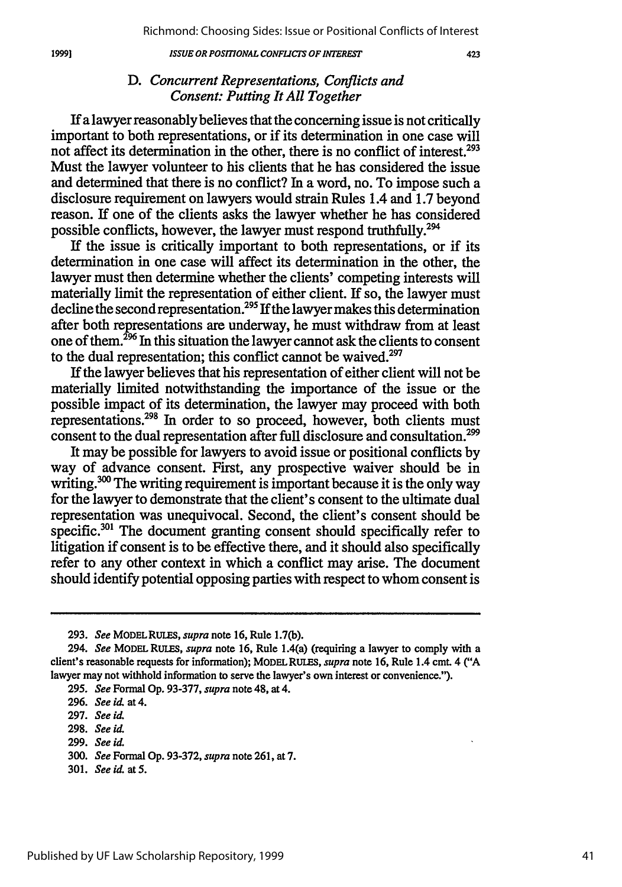## $423$

# *D. Concurrent Representations, Conflicts and Consent: Putting It All Together*

If a lawyer reasonably believes that the concerning issue is not critically important to both representations, or if its determination in one case will not affect its determination in the other, there is no conflict of interest.<sup>293</sup> Must the lawyer volunteer to his clients that he has considered the issue and determined that there is no conflict? In a word, no. To impose such a disclosure requirement on lawyers would strain Rules 1.4 and **1.7** beyond reason. If one of the clients asks the lawyer whether he has considered possible conflicts, however, the lawyer must respond truthfully.294

If the issue is critically important to both representations, or if its determination in one case will affect its determination in the other, the lawyer must then determine whether the clients' competing interests will materially limit the representation of either client. If so, the lawyer must decline the second representation.<sup>295</sup> If the lawyer makes this determination after both representations are underway, he must withdraw from at least one of them.<sup>296</sup> In this situation the lawyer cannot ask the clients to consent to the dual representation; this conflict cannot be waived. $297$ 

If the lawyer believes that his representation of either client will not be materially limited notwithstanding the importance of the issue or the possible impact of its determination, the lawyer may proceed with both representations.<sup>298</sup> In order to so proceed, however, both clients must consent to the dual representation after full disclosure and consultation.<sup>299</sup>

It may be possible for lawyers to avoid issue or positional conflicts by way of advance consent. First, any prospective waiver should be in writing.<sup>300</sup> The writing requirement is important because it is the only way for the lawyer to demonstrate that the client's consent to the ultimate dual representation was unequivocal. Second, the client's consent should be specific.<sup>301</sup> The document granting consent should specifically refer to litigation if consent is to be effective there, and it should also specifically refer to any other context in which a conflict may arise. The document should identify potential opposing parties with respect to whom consent is

301. *See id.* at **5.**

<sup>293.</sup> *See* MODELRUiS, *supra* note 16, Rule 1.7(b).

<sup>294.</sup> *See* MODEL **RULES,** *supra* note 16, Rule 1.4(a) (requiring a lawyer to comply with a client's reasonable requests for information); MODEL RULES, *supra* note 16, Rule 1.4 cmt. 4 ("A lawyer may not withhold information to serve the lawyer's own interest or convenience.").

**<sup>295.</sup>** *See* Formal Op. 93-377, *supra* note 48, at 4.

<sup>296.</sup> *See id.* at 4.

**<sup>297.</sup>** *See id.*

<sup>298.</sup> *See id.*

**<sup>299.</sup>** *See id.*

<sup>300.</sup> *See* Formal Op. 93-372, *supra* note 261, at 7.